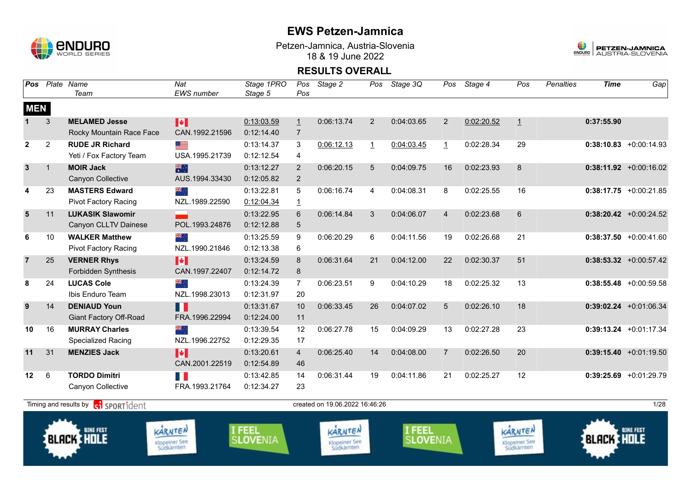

Petzen-Jamnica, Austria-Slovenia 18 & 19 June 2022



| <b>Pos</b>     |                | Plate Name<br>Team                        | $\overline{Nat}$<br><b>EWS</b> number         | Stage 1PRO<br>Stage 5     | Pos<br>Pos      | Stage 2                                       | Pos            | Stage 3Q                  | Pos            | Stage 4    | Pos                                           | <b>Penalties</b> | <b>Time</b>       | Gap                       |
|----------------|----------------|-------------------------------------------|-----------------------------------------------|---------------------------|-----------------|-----------------------------------------------|----------------|---------------------------|----------------|------------|-----------------------------------------------|------------------|-------------------|---------------------------|
| <b>MEN</b>     |                |                                           |                                               |                           |                 |                                               |                |                           |                |            |                                               |                  |                   |                           |
| $\mathbf 1$    | 3              | <b>MELAMED Jesse</b>                      | H                                             | 0:13:03.59                | $\perp$         | 0:06:13.74                                    | 2              | 0:04:03.65                | $\overline{2}$ | 0:02:20.52 | $\overline{1}$                                |                  | 0:37:55.90        |                           |
|                |                | Rocky Mountain Race Face                  | CAN.1992.21596                                | 0:12:14.40                | $\overline{7}$  |                                               |                |                           |                |            |                                               |                  |                   |                           |
| $\overline{2}$ | $\overline{2}$ | <b>RUDE JR Richard</b>                    | ≡                                             | 0:13:14.37                | 3               | 0:06:12.13                                    | $\overline{1}$ | 0:04:03.45                | $\mathbf{1}$   | 0:02:28.34 | 29                                            |                  |                   | $0:38:10.83$ +0:00:14.93  |
|                |                | Yeti / Fox Factory Team                   | USA.1995.21739                                | 0:12:12.54                | 4               |                                               |                |                           |                |            |                                               |                  |                   |                           |
| $\mathbf{3}$   | $\mathbf{1}$   | <b>MOIR Jack</b>                          | 米糖                                            | 0:13:12.27                | 2               | 0:06:20.15                                    | 5              | 0:04:09.75                | 16             | 0:02:23.93 | 8                                             |                  |                   | $0:38:11.92 +0:00:16.02$  |
|                |                | <b>Canyon Collective</b>                  | AUS.1994.33430                                | 0:12:05.82                | 2               |                                               |                |                           |                |            |                                               |                  |                   |                           |
| 4              | 23             | <b>MASTERS Edward</b>                     | ÷, ek                                         | 0:13:22.81                | 5               | 0:06:16.74                                    | 4              | 0:04:08.31                | 8              | 0:02:25.55 | 16                                            |                  |                   | $0:38:17.75$ +0:00:21.85  |
|                |                | <b>Pivot Factory Racing</b>               | NZL.1989.22590                                | 0:12:04.34                | $\mathbf{1}$    |                                               |                |                           |                |            |                                               |                  |                   |                           |
| $5\phantom{1}$ | 11             | <b>LUKASIK Slawomir</b>                   |                                               | 0:13:22.95                | 6               | 0:06:14.84                                    | 3              | 0:04:06.07                | $\overline{4}$ | 0:02:23.68 | 6                                             |                  |                   | $0:38:20.42$ +0:00:24.52  |
|                |                | Canyon CLLTV Dainese                      | POL.1993.24876                                | 0:12:12.88                | $5\phantom{.0}$ |                                               |                |                           |                |            |                                               |                  |                   |                           |
| 6              | 10             | <b>WALKER Matthew</b>                     | ▓                                             | 0:13:25.59                | 9               | 0:06:20.29                                    | 6              | 0:04:11.56                | 19             | 0:02:26.68 | 21                                            |                  |                   | $0:38:37.50 + 0:00:41.60$ |
|                |                | <b>Pivot Factory Racing</b>               | NZL.1990.21846                                | 0:12:13.38                | 6               |                                               |                |                           |                |            |                                               |                  |                   |                           |
| $\overline{7}$ | 25             | <b>VERNER Rhys</b>                        | M                                             | 0:13:24.59                | 8               | 0:06:31.64                                    | 21             | 0:04:12.00                | 22             | 0:02:30.37 | 51                                            |                  |                   | $0:38:53.32$ +0:00:57.42  |
|                |                | <b>Forbidden Synthesis</b>                | CAN.1997.22407                                | 0:12:14.72                | 8               |                                               |                |                           |                |            |                                               |                  |                   |                           |
| 8              | 24             | <b>LUCAS Cole</b>                         | ÷, ak                                         | 0:13:24.39                | $\overline{7}$  | 0:06:23.51                                    | 9              | 0:04:10.29                | 18             | 0:02:25.32 | 13                                            |                  |                   | $0:38:55.48$ +0:00:59.58  |
|                |                | Ibis Enduro Team                          | NZL.1998.23013                                | 0:12:31.97                | 20              |                                               |                |                           |                |            |                                               |                  |                   |                           |
| 9              | 14             | <b>DENIAUD Youn</b>                       | H                                             | 0:13:31.67                | 10              | 0:06:33.45                                    | 26             | 0:04:07.02                | 5              | 0:02:26.10 | 18                                            |                  |                   | $0:39:02.24$ +0:01:06.34  |
|                |                | <b>Giant Factory Off-Road</b>             | FRA.1996.22994                                | 0:12:24.00                | 11              |                                               |                |                           |                |            |                                               |                  |                   |                           |
| 10             | 16             | <b>MURRAY Charles</b>                     | ं और                                          | 0:13:39.54                | 12              | 0:06:27.78                                    | 15             | 0:04:09.29                | 13             | 0:02:27.28 | 23                                            |                  |                   | $0:39:13.24$ +0:01:17.34  |
|                |                | <b>Specialized Racing</b>                 | NZL.1996.22752                                | 0:12:29.35                | 17              |                                               |                |                           |                |            |                                               |                  |                   |                           |
| 11             | 31             | <b>MENZIES Jack</b>                       | M                                             | 0:13:20.61                | $\overline{4}$  | 0:06:25.40                                    | 14             | 0:04:08.00                | $\overline{7}$ | 0:02:26.50 | 20                                            |                  |                   | $0:39:15.40 +0:01:19.50$  |
|                |                |                                           | CAN.2001.22519                                | 0:12:54.89                | 46              |                                               |                |                           |                |            |                                               |                  |                   |                           |
| 12             | 6              | <b>TORDO Dimitri</b>                      | H                                             | 0:13:42.85                | 14              | 0:06:31.44                                    | 19             | 0:04:11.86                | 21             | 0:02:25.27 | 12                                            |                  |                   | $0:39:25.69$ +0:01:29.79  |
|                |                | Canyon Collective                         | FRA.1993.21764                                | 0:12:34.27                | 23              |                                               |                |                           |                |            |                                               |                  |                   |                           |
|                |                | Timing and results by <b>c</b> operationt |                                               |                           |                 | created on 19.06.2022 16:46:26                |                |                           |                |            |                                               |                  |                   | 1/28                      |
|                |                | <b>BIKE FEST</b><br><b>BLACK HOLE</b>     | KARNTEN<br><b>Klopeiner See</b><br>Südkärnten | I FEEL<br><b>SLOVENIA</b> |                 | KARNTEN<br><b>Klopeiner See</b><br>Südkärnten |                | I FEEL<br><b>SLOVENIA</b> |                |            | KARNTEN<br><b>Klopeiner See</b><br>Südkärnten |                  | <b>BLACK HOLE</b> | <b>BIKE FEST</b>          |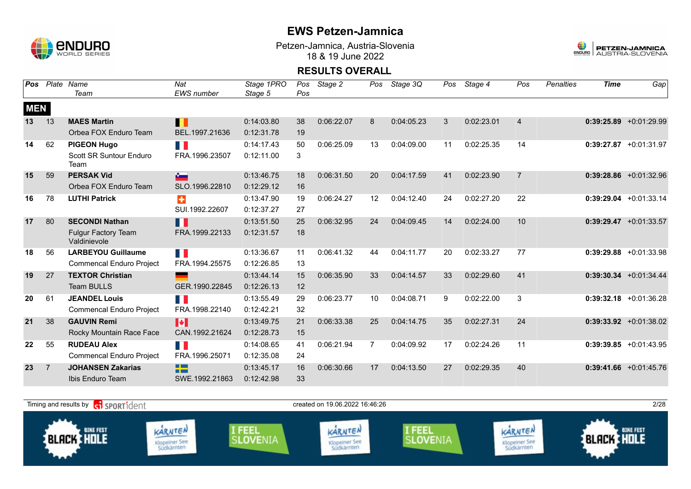

Petzen-Jamnica, Austria-Slovenia 18 & 19 June 2022



| <b>Pos</b> |                | Plate Name                                 | Nat                                       | Stage 1PRO | Pos | Stage 2    | Pos            | Stage 3Q   | Pos | Stage 4    | Pos            | <b>Penalties</b> | <b>Time</b> | Gap                      |
|------------|----------------|--------------------------------------------|-------------------------------------------|------------|-----|------------|----------------|------------|-----|------------|----------------|------------------|-------------|--------------------------|
|            |                | Team                                       | <b>EWS</b> number                         | Stage 5    | Pos |            |                |            |     |            |                |                  |             |                          |
| <b>MEN</b> |                |                                            |                                           |            |     |            |                |            |     |            |                |                  |             |                          |
| 13         | 13             | <b>MAES Martin</b>                         | П                                         | 0:14:03.80 | 38  | 0:06:22.07 | 8              | 0:04:05.23 | 3   | 0:02:23.01 | $\overline{4}$ |                  |             | $0:39:25.89$ +0:01:29.99 |
|            |                | Orbea FOX Enduro Team                      | BEL.1997.21636                            | 0:12:31.78 | 19  |            |                |            |     |            |                |                  |             |                          |
| 14         | 62             | <b>PIGEON Hugo</b>                         | n N                                       | 0:14:17.43 | 50  | 0:06:25.09 | 13             | 0:04:09.00 | 11  | 0:02:25.35 | 14             |                  |             | $0:39:27.87$ +0:01:31.97 |
|            |                | Scott SR Suntour Enduro<br>Team            | FRA.1996.23507                            | 0:12:11.00 | 3   |            |                |            |     |            |                |                  |             |                          |
| 15         | 59             | <b>PERSAK Vid</b>                          | $\sim$                                    | 0:13:46.75 | 18  | 0:06:31.50 | 20             | 0:04:17.59 | 41  | 0:02:23.90 | $\overline{7}$ |                  |             | $0:39:28.86$ +0:01:32.96 |
|            |                | Orbea FOX Enduro Team                      | SLO.1996.22810                            | 0:12:29.12 | 16  |            |                |            |     |            |                |                  |             |                          |
| 16         | 78             | <b>LUTHI Patrick</b>                       | $\ddot{}$                                 | 0:13:47.90 | 19  | 0:06:24.27 | 12             | 0:04:12.40 | 24  | 0:02:27.20 | 22             |                  |             | $0:39:29.04$ +0:01:33.14 |
|            |                |                                            | SUI.1992.22607                            | 0:12:37.27 | 27  |            |                |            |     |            |                |                  |             |                          |
| 17         | 80             | <b>SECONDI Nathan</b>                      | H                                         | 0:13:51.50 | 25  | 0:06:32.95 | 24             | 0:04:09.45 | 14  | 0:02:24.00 | 10             |                  |             | $0:39:29.47 +0:01:33.57$ |
|            |                | <b>Fulgur Factory Team</b><br>Valdinievole | FRA.1999.22133                            | 0:12:31.57 | 18  |            |                |            |     |            |                |                  |             |                          |
| 18         | 56             | <b>LARBEYOU Guillaume</b>                  | T B                                       | 0:13:36.67 | 11  | 0:06:41.32 | 44             | 0:04:11.77 | 20  | 0:02:33.27 | 77             |                  |             | $0:39:29.88$ +0:01:33.98 |
|            |                | <b>Commencal Enduro Project</b>            | FRA.1994.25575                            | 0:12:26.85 | 13  |            |                |            |     |            |                |                  |             |                          |
| 19         | 27             | <b>TEXTOR Christian</b>                    | ــ                                        | 0:13:44.14 | 15  | 0:06:35.90 | 33             | 0:04:14.57 | 33  | 0:02:29.60 | 41             |                  |             | $0:39:30.34$ +0:01:34.44 |
|            |                | <b>Team BULLS</b>                          | GER.1990.22845                            | 0:12:26.13 | 12  |            |                |            |     |            |                |                  |             |                          |
| 20         | 61             | <b>JEANDEL Louis</b>                       | H.                                        | 0:13:55.49 | 29  | 0:06:23.77 | 10             | 0:04:08.71 | 9   | 0:02:22.00 | 3              |                  |             | $0:39:32.18$ +0:01:36.28 |
|            |                | <b>Commencal Enduro Project</b>            | FRA.1998.22140                            | 0:12:42.21 | 32  |            |                |            |     |            |                |                  |             |                          |
| 21         | 38             | <b>GAUVIN Remi</b>                         | H                                         | 0:13:49.75 | 21  | 0:06:33.38 | 25             | 0:04:14.75 | 35  | 0:02:27.31 | 24             |                  |             | $0:39:33.92 +0:01:38.02$ |
|            |                | Rocky Mountain Race Face                   | CAN.1992.21624                            | 0:12:28.73 | 15  |            |                |            |     |            |                |                  |             |                          |
| 22         | 55             | <b>RUDEAU Alex</b>                         | FI 6                                      | 0:14:08.65 | 41  | 0:06:21.94 | $\overline{7}$ | 0:04:09.92 | 17  | 0:02:24.26 | 11             |                  |             | $0:39:39.85 +0:01:43.95$ |
|            |                | <b>Commencal Enduro Project</b>            | FRA.1996.25071                            | 0:12:35.08 | 24  |            |                |            |     |            |                |                  |             |                          |
| 23         | $\overline{7}$ | <b>JOHANSEN Zakarias</b>                   | <b>The Contract State</b><br><b>START</b> | 0:13:45.17 | 16  | 0:06:30.66 | 17             | 0:04:13.50 | 27  | 0:02:29.35 | 40             |                  |             | $0:39:41.66$ +0:01:45.76 |
|            |                | Ibis Enduro Team                           | SWE.1992.21863                            | 0:12:42.98 | 33  |            |                |            |     |            |                |                  |             |                          |

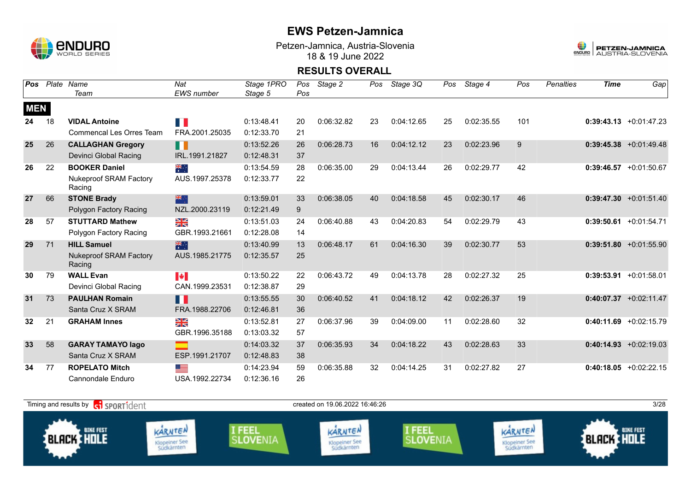

Petzen-Jamnica, Austria-Slovenia 18 & 19 June 2022



| <b>Pos</b> |    | Plate Name                              | Nat            | Stage 1PRO | Pos | Stage 2    | Pos | Stage 3Q   | Pos | Stage 4    | Pos | <b>Penalties</b> | <b>Time</b> | Gap                       |
|------------|----|-----------------------------------------|----------------|------------|-----|------------|-----|------------|-----|------------|-----|------------------|-------------|---------------------------|
|            |    | Team                                    | EWS number     | Stage 5    | Pos |            |     |            |     |            |     |                  |             |                           |
| <b>MEN</b> |    |                                         |                |            |     |            |     |            |     |            |     |                  |             |                           |
| 24         | 18 | <b>VIDAL Antoine</b>                    | n n            | 0:13:48.41 | 20  | 0:06:32.82 | 23  | 0:04:12.65 | 25  | 0:02:35.55 | 101 |                  |             | $0:39:43.13 + 0:01:47.23$ |
|            |    | Commencal Les Orres Team                | FRA.2001.25035 | 0:12:33.70 | 21  |            |     |            |     |            |     |                  |             |                           |
| 25         | 26 | <b>CALLAGHAN Gregory</b>                | H              | 0:13:52.26 | 26  | 0:06:28.73 | 16  | 0:04:12.12 | 23  | 0:02:23.96 | 9   |                  |             | $0:39:45.38 + 0:01:49.48$ |
|            |    | Devinci Global Racing                   | IRL.1991.21827 | 0:12:48.31 | 37  |            |     |            |     |            |     |                  |             |                           |
| 26         | 22 | <b>BOOKER Daniel</b>                    | $\frac{1}{2}$  | 0:13:54.59 | 28  | 0:06:35.00 | 29  | 0:04:13.44 | 26  | 0:02:29.77 | 42  |                  |             | $0:39:46.57 +0:01:50.67$  |
|            |    | <b>Nukeproof SRAM Factory</b><br>Racing | AUS.1997.25378 | 0:12:33.77 | 22  |            |     |            |     |            |     |                  |             |                           |
| 27         | 66 | <b>STONE Brady</b>                      | 米              | 0:13:59.01 | 33  | 0:06:38.05 | 40  | 0:04:18.58 | 45  | 0:02:30.17 | 46  |                  |             | $0:39:47.30 + 0:01:51.40$ |
|            |    | Polygon Factory Racing                  | NZL.2000.23119 | 0:12:21.49 | 9   |            |     |            |     |            |     |                  |             |                           |
| 28         | 57 | <b>STUTTARD Mathew</b>                  | ≥k             | 0:13:51.03 | 24  | 0:06:40.88 | 43  | 0:04:20.83 | 54  | 0:02:29.79 | 43  |                  |             | $0:39:50.61 + 0:01:54.71$ |
|            |    | Polygon Factory Racing                  | GBR.1993.21661 | 0:12:28.08 | 14  |            |     |            |     |            |     |                  |             |                           |
| 29         | 71 | <b>HILL Samuel</b>                      | 米              | 0:13:40.99 | 13  | 0:06:48.17 | 61  | 0:04:16.30 | 39  | 0:02:30.77 | 53  |                  |             | $0:39:51.80 + 0:01:55.90$ |
|            |    | <b>Nukeproof SRAM Factory</b><br>Racing | AUS.1985.21775 | 0:12:35.57 | 25  |            |     |            |     |            |     |                  |             |                           |
| 30         | 79 | <b>WALL Evan</b>                        | <b>IV</b>      | 0:13:50.22 | 22  | 0:06:43.72 | 49  | 0:04:13.78 | 28  | 0:02:27.32 | 25  |                  | 0:39:53.91  | $+0:01:58.01$             |
|            |    | Devinci Global Racing                   | CAN.1999.23531 | 0:12:38.87 | 29  |            |     |            |     |            |     |                  |             |                           |
| 31         | 73 | <b>PAULHAN Romain</b>                   | M              | 0:13:55.55 | 30  | 0:06:40.52 | 41  | 0:04:18.12 | 42  | 0:02:26.37 | 19  |                  |             | $0:40:07.37$ +0:02:11.47  |
|            |    | Santa Cruz X SRAM                       | FRA.1988.22706 | 0:12:46.81 | 36  |            |     |            |     |            |     |                  |             |                           |
| 32         | 21 | <b>GRAHAM Innes</b>                     | ≥k             | 0:13:52.81 | 27  | 0:06:37.96 | 39  | 0:04:09.00 | 11  | 0:02:28.60 | 32  |                  |             | $0:40:11.69 + 0:02:15.79$ |
|            |    |                                         | GBR.1996.35188 | 0:13:03.32 | 57  |            |     |            |     |            |     |                  |             |                           |
| 33         | 58 | <b>GARAY TAMAYO lago</b>                |                | 0:14:03.32 | 37  | 0:06:35.93 | 34  | 0:04:18.22 | 43  | 0:02:28.63 | 33  |                  |             | $0:40:14.93 + 0:02:19.03$ |
|            |    | Santa Cruz X SRAM                       | ESP.1991.21707 | 0:12:48.83 | 38  |            |     |            |     |            |     |                  |             |                           |
| 34         | 77 | <b>ROPELATO Mitch</b>                   | <u>est</u>     | 0:14:23.94 | 59  | 0:06:35.88 | 32  | 0:04:14.25 | 31  | 0:02:27.82 | 27  |                  |             | $0:40:18.05 +0:02:22.15$  |
|            |    | <b>Cannondale Enduro</b>                | USA.1992.22734 | 0:12:36.16 | 26  |            |     |            |     |            |     |                  |             |                           |

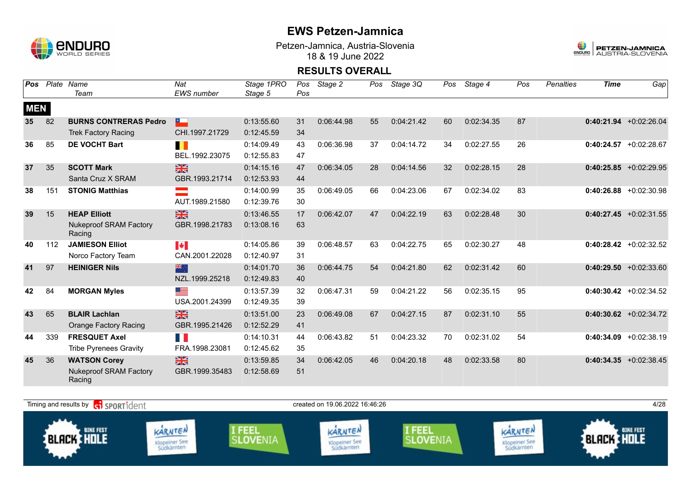

Petzen-Jamnica, Austria-Slovenia 18 & 19 June 2022



| Pos        |     | Plate Name                              | Nat               | Stage 1PRO | Pos | Stage 2    | Pos | Stage 3Q   | Pos | Stage 4    | Pos | <b>Penalties</b> | <b>Time</b> | Gap                       |
|------------|-----|-----------------------------------------|-------------------|------------|-----|------------|-----|------------|-----|------------|-----|------------------|-------------|---------------------------|
|            |     | Team                                    | <b>EWS</b> number | Stage 5    | Pos |            |     |            |     |            |     |                  |             |                           |
| <b>MEN</b> |     |                                         |                   |            |     |            |     |            |     |            |     |                  |             |                           |
| 35         | 82  | <b>BURNS CONTRERAS Pedro</b>            | $\sim$            | 0:13:55.60 | 31  | 0:06:44.98 | 55  | 0:04:21.42 | 60  | 0:02:34.35 | 87  |                  |             | $0:40:21.94$ +0:02:26.04  |
|            |     | <b>Trek Factory Racing</b>              | CHI.1997.21729    | 0:12:45.59 | 34  |            |     |            |     |            |     |                  |             |                           |
| 36         | 85  | <b>DE VOCHT Bart</b>                    | H                 | 0:14:09.49 | 43  | 0:06:36.98 | 37  | 0:04:14.72 | 34  | 0:02:27.55 | 26  |                  |             | $0:40:24.57$ +0:02:28.67  |
|            |     |                                         | BEL.1992.23075    | 0:12:55.83 | 47  |            |     |            |     |            |     |                  |             |                           |
| 37         | 35  | <b>SCOTT Mark</b>                       | $\frac{N}{N}$     | 0:14:15.16 | 47  | 0:06:34.05 | 28  | 0:04:14.56 | 32  | 0:02:28.15 | 28  |                  |             | $0:40:25.85 + 0:02:29.95$ |
|            |     | Santa Cruz X SRAM                       | GBR.1993.21714    | 0:12:53.93 | 44  |            |     |            |     |            |     |                  |             |                           |
| 38         | 151 | <b>STONIG Matthias</b>                  |                   | 0:14:00.99 | 35  | 0:06:49.05 | 66  | 0:04:23.06 | 67  | 0:02:34.02 | 83  |                  |             | $0:40:26.88$ +0:02:30.98  |
|            |     |                                         | AUT.1989.21580    | 0:12:39.76 | 30  |            |     |            |     |            |     |                  |             |                           |
| 39         | 15  | <b>HEAP Elliott</b>                     | $\frac{N}{N}$     | 0:13:46.55 | 17  | 0:06:42.07 | 47  | 0:04:22.19 | 63  | 0:02:28.48 | 30  |                  |             | $0:40:27.45 +0:02:31.55$  |
|            |     | <b>Nukeproof SRAM Factory</b><br>Racing | GBR.1998.21783    | 0:13:08.16 | 63  |            |     |            |     |            |     |                  |             |                           |
| 40         | 112 | <b>JAMIESON Elliot</b>                  | <b>Expert</b>     | 0:14:05.86 | 39  | 0:06:48.57 | 63  | 0:04:22.75 | 65  | 0:02:30.27 | 48  |                  |             | $0:40:28.42 +0:02:32.52$  |
|            |     | Norco Factory Team                      | CAN.2001.22028    | 0:12:40.97 | 31  |            |     |            |     |            |     |                  |             |                           |
| 41         | 97  | <b>HEINIGER Nils</b>                    | 米                 | 0:14:01.70 | 36  | 0:06:44.75 | 54  | 0:04:21.80 | 62  | 0:02:31.42 | 60  |                  |             | $0:40:29.50 + 0:02:33.60$ |
|            |     |                                         | NZL.1999.25218    | 0:12:49.83 | 40  |            |     |            |     |            |     |                  |             |                           |
| 42         | 84  | <b>MORGAN Myles</b>                     | <u>est</u>        | 0:13:57.39 | 32  | 0:06:47.31 | 59  | 0:04:21.22 | 56  | 0:02:35.15 | 95  |                  |             | $0:40:30.42 + 0:02:34.52$ |
|            |     |                                         | USA.2001.24399    | 0:12:49.35 | 39  |            |     |            |     |            |     |                  |             |                           |
| 43         | 65  | <b>BLAIR Lachlan</b>                    | $\frac{2}{3}$     | 0:13:51.00 | 23  | 0:06:49.08 | 67  | 0:04:27.15 | 87  | 0:02:31.10 | 55  |                  |             | $0:40:30.62$ +0:02:34.72  |
|            |     | <b>Orange Factory Racing</b>            | GBR.1995.21426    | 0:12:52.29 | 41  |            |     |            |     |            |     |                  |             |                           |
| 44         | 339 | <b>FRESQUET Axel</b>                    | T.                | 0:14:10.31 | 44  | 0:06:43.82 | 51  | 0:04:23.32 | 70  | 0:02:31.02 | 54  |                  |             | $0:40:34.09$ +0:02:38.19  |
|            |     | <b>Tribe Pyrenees Gravity</b>           | FRA.1998.23081    | 0:12:45.62 | 35  |            |     |            |     |            |     |                  |             |                           |
| 45         | 36  | <b>WATSON Corey</b>                     | $\frac{N}{N}$     | 0:13:59.85 | 34  | 0:06:42.05 | 46  | 0:04:20.18 | 48  | 0:02:33.58 | 80  |                  |             | $0:40:34.35 + 0:02:38.45$ |
|            |     | <b>Nukeproof SRAM Factory</b><br>Racing | GBR.1999.35483    | 0:12:58.69 | 51  |            |     |            |     |            |     |                  |             |                           |

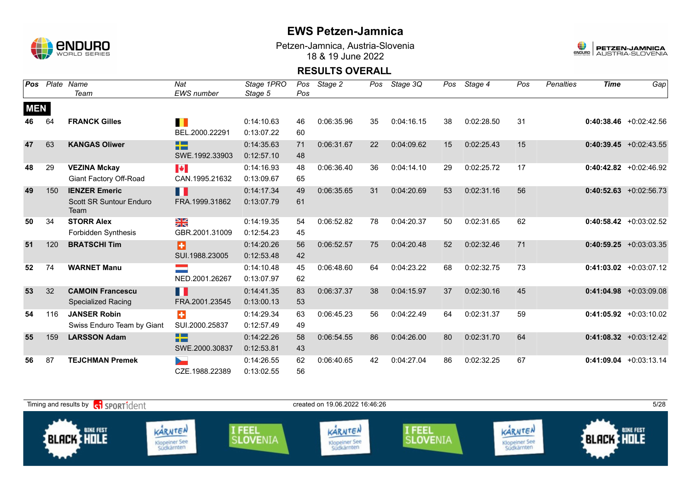

Petzen-Jamnica, Austria-Slovenia 18 & 19 June 2022



| Pos        |     | Plate Name                             | Nat                         | Stage 1PRO | Pos | Stage 2    | Pos | Stage 3Q   | Pos | Stage 4    | Pos | <b>Penalties</b> | <b>Time</b> | Gap                       |
|------------|-----|----------------------------------------|-----------------------------|------------|-----|------------|-----|------------|-----|------------|-----|------------------|-------------|---------------------------|
|            |     | Team                                   | <b>EWS</b> number           | Stage 5    | Pos |            |     |            |     |            |     |                  |             |                           |
| <b>MEN</b> |     |                                        |                             |            |     |            |     |            |     |            |     |                  |             |                           |
| 46         | 64  | <b>FRANCK Gilles</b>                   | П                           | 0:14:10.63 | 46  | 0:06:35.96 | 35  | 0:04:16.15 | 38  | 0:02:28.50 | 31  |                  |             | $0:40:38.46$ +0:02:42.56  |
|            |     |                                        | BEL.2000.22291              | 0:13:07.22 | 60  |            |     |            |     |            |     |                  |             |                           |
| 47         | 63  | <b>KANGAS Oliwer</b>                   | $\Box$<br><b>TELEVISION</b> | 0:14:35.63 | 71  | 0:06:31.67 | 22  | 0:04:09.62 | 15  | 0:02:25.43 | 15  |                  |             | $0:40:39.45 +0:02:43.55$  |
|            |     |                                        | SWE.1992.33903              | 0:12:57.10 | 48  |            |     |            |     |            |     |                  |             |                           |
| 48         | 29  | <b>VEZINA Mckay</b>                    | $\blacktriangleright$       | 0:14:16.93 | 48  | 0:06:36.40 | 36  | 0:04:14.10 | 29  | 0:02:25.72 | 17  |                  |             | $0:40:42.82 + 0:02:46.92$ |
|            |     | Giant Factory Off-Road                 | CAN.1995.21632              | 0:13:09.67 | 65  |            |     |            |     |            |     |                  |             |                           |
| 49         | 150 | <b>IENZER Emeric</b>                   | H                           | 0:14:17.34 | 49  | 0:06:35.65 | 31  | 0:04:20.69 | 53  | 0:02:31.16 | 56  |                  |             | $0:40:52.63$ +0:02:56.73  |
|            |     | <b>Scott SR Suntour Enduro</b><br>Team | FRA.1999.31862              | 0:13:07.79 | 61  |            |     |            |     |            |     |                  |             |                           |
| 50         | 34  | <b>STORR Alex</b>                      | ≥k<br>X                     | 0:14:19.35 | 54  | 0:06:52.82 | 78  | 0:04:20.37 | 50  | 0:02:31.65 | 62  |                  |             | $0:40:58.42 + 0:03:02.52$ |
|            |     | <b>Forbidden Synthesis</b>             | GBR.2001.31009              | 0:12:54.23 | 45  |            |     |            |     |            |     |                  |             |                           |
| 51         | 120 | <b>BRATSCHI Tim</b>                    | Ð                           | 0:14:20.26 | 56  | 0:06:52.57 | 75  | 0:04:20.48 | 52  | 0:02:32.46 | 71  |                  |             | $0:40:59.25 + 0:03:03.35$ |
|            |     |                                        | SUI.1988.23005              | 0:12:53.48 | 42  |            |     |            |     |            |     |                  |             |                           |
| 52         | 74  | <b>WARNET Manu</b>                     |                             | 0:14:10.48 | 45  | 0:06:48.60 | 64  | 0:04:23.22 | 68  | 0:02:32.75 | 73  |                  |             | $0:41:03.02 +0:03:07.12$  |
|            |     |                                        | NED.2001.26267              | 0:13:07.97 | 62  |            |     |            |     |            |     |                  |             |                           |
| 53         | 32  | <b>CAMOIN Francescu</b>                | H                           | 0:14:41.35 | 83  | 0:06:37.37 | 38  | 0:04:15.97 | 37  | 0:02:30.16 | 45  |                  |             | $0:41:04.98$ +0:03:09.08  |
|            |     | <b>Specialized Racing</b>              | FRA.2001.23545              | 0:13:00.13 | 53  |            |     |            |     |            |     |                  |             |                           |
| 54         | 116 | <b>JANSER Robin</b>                    | ÷                           | 0:14:29.34 | 63  | 0:06:45.23 | 56  | 0:04:22.49 | 64  | 0:02:31.37 | 59  |                  |             | $0:41:05.92 +0:03:10.02$  |
|            |     | Swiss Enduro Team by Giant             | SUI.2000.25837              | 0:12:57.49 | 49  |            |     |            |     |            |     |                  |             |                           |
| 55         | 159 | <b>LARSSON Adam</b>                    | <u>sta s</u><br><b>B</b> EX | 0:14:22.26 | 58  | 0:06:54.55 | 86  | 0:04:26.00 | 80  | 0:02:31.70 | 64  |                  |             | $0:41:08.32 +0:03:12.42$  |
|            |     |                                        | SWE.2000.30837              | 0:12:53.81 | 43  |            |     |            |     |            |     |                  |             |                           |
| 56         | 87  | <b>TEJCHMAN Premek</b>                 |                             | 0:14:26.55 | 62  | 0:06:40.65 | 42  | 0:04:27.04 | 86  | 0:02:32.25 | 67  |                  |             | $0:41:09.04$ +0:03:13.14  |
|            |     |                                        | CZE.1988.22389              | 0:13:02.55 | 56  |            |     |            |     |            |     |                  |             |                           |

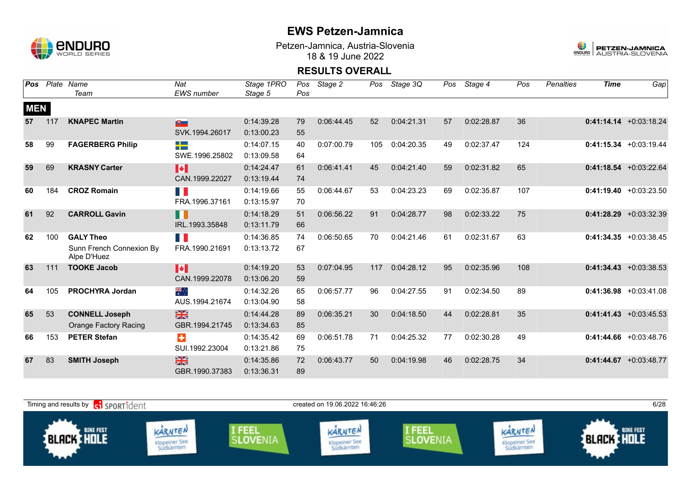

Petzen-Jamnica, Austria-Slovenia 18 & 19 June 2022



| Pos        |     | Plate Name                              | Nat                   | Stage 1PRO | Pos | Stage 2    | Pos | Stage 3Q   | Pos | Stage 4    | Pos | <b>Penalties</b> | <b>Time</b> | Gap                       |
|------------|-----|-----------------------------------------|-----------------------|------------|-----|------------|-----|------------|-----|------------|-----|------------------|-------------|---------------------------|
|            |     | Team                                    | <b>EWS</b> number     | Stage 5    | Pos |            |     |            |     |            |     |                  |             |                           |
| <b>MEN</b> |     |                                         |                       |            |     |            |     |            |     |            |     |                  |             |                           |
| 57         | 117 | <b>KNAPEC Martin</b>                    | $\mathbf{E}$          | 0:14:39.28 | 79  | 0:06:44.45 | 52  | 0:04:21.31 | 57  | 0:02:28.87 | 36  |                  |             | $0:41:14.14 + 0:03:18.24$ |
|            |     |                                         | SVK.1994.26017        | 0:13:00.23 | 55  |            |     |            |     |            |     |                  |             |                           |
| 58         | 99  | <b>FAGERBERG Philip</b>                 | <b>TES</b>            | 0:14:07.15 | 40  | 0:07:00.79 | 105 | 0:04:20.35 | 49  | 0:02:37.47 | 124 |                  |             | $0:41:15.34 +0:03:19.44$  |
|            |     |                                         | SWE.1996.25802        | 0:13:09.58 | 64  |            |     |            |     |            |     |                  |             |                           |
| 59         | 69  | <b>KRASNY Carter</b>                    | <b>I</b> *            | 0:14:24.47 | 61  | 0:06:41.41 | 45  | 0:04:21.40 | 59  | 0:02:31.82 | 65  |                  |             | $0:41:18.54 + 0:03:22.64$ |
|            |     |                                         | CAN.1999.22027        | 0:13:19.44 | 74  |            |     |            |     |            |     |                  |             |                           |
| 60         | 184 | <b>CROZ Romain</b>                      | <b>TIME</b>           | 0:14:19.66 | 55  | 0:06:44.67 | 53  | 0:04:23.23 | 69  | 0:02:35.87 | 107 |                  |             | $0:41:19.40 + 0:03:23.50$ |
|            |     |                                         | FRA.1996.37161        | 0:13:15.97 | 70  |            |     |            |     |            |     |                  |             |                           |
| 61         | 92  | <b>CARROLL Gavin</b>                    | n N                   | 0:14:18.29 | 51  | 0:06:56.22 | 91  | 0:04:28.77 | 98  | 0:02:33.22 | 75  |                  |             | $0:41:28.29 + 0:03:32.39$ |
|            |     |                                         | IRL.1993.35848        | 0:13:11.79 | 66  |            |     |            |     |            |     |                  |             |                           |
| 62         | 100 | <b>GALY Theo</b>                        | T.                    | 0:14:36.85 | 74  | 0:06:50.65 | 70  | 0:04:21.46 | 61  | 0:02:31.67 | 63  |                  |             | $0:41:34.35 + 0:03:38.45$ |
|            |     | Sunn French Connexion By<br>Alpe D'Huez | FRA.1990.21691        | 0:13:13.72 | 67  |            |     |            |     |            |     |                  |             |                           |
| 63         | 111 | <b>TOOKE Jacob</b>                      | $\blacktriangleright$ | 0:14:19.20 | 53  | 0:07:04.95 | 117 | 0:04:28.12 | 95  | 0:02:35.96 | 108 |                  |             | $0:41:34.43 + 0:03:38.53$ |
|            |     |                                         | CAN.1999.22078        | 0:13:06.20 | 59  |            |     |            |     |            |     |                  |             |                           |
|            |     |                                         |                       |            |     |            |     |            |     |            |     |                  |             |                           |
| 64         | 105 | <b>PROCHYRA Jordan</b>                  | ्रेलिं                | 0:14:32.26 | 65  | 0:06:57.77 | 96  | 0:04:27.55 | 91  | 0:02:34.50 | 89  |                  |             | $0:41:36.98 + 0:03:41.08$ |
|            |     |                                         | AUS.1994.21674        | 0:13:04.90 | 58  |            |     |            |     |            |     |                  |             |                           |
| 65         | 53  | <b>CONNELL Joseph</b>                   | $\frac{N}{N}$         | 0:14:44.28 | 89  | 0:06:35.21 | 30  | 0:04:18.50 | 44  | 0:02:28.81 | 35  |                  |             | $0:41:41.43 + 0:03:45.53$ |
|            |     | <b>Orange Factory Racing</b>            | GBR.1994.21745        | 0:13:34.63 | 85  |            |     |            |     |            |     |                  |             |                           |
| 66         | 153 | <b>PETER Stefan</b>                     | $\ddot{}$             | 0:14:35.42 | 69  | 0:06:51.78 | 71  | 0:04:25.32 | 77  | 0:02:30.28 | 49  |                  |             | $0:41:44.66 + 0:03:48.76$ |
|            |     |                                         | SUI.1992.23004        | 0:13:21.86 | 75  |            |     |            |     |            |     |                  |             |                           |
| 67         | 83  | <b>SMITH Joseph</b>                     | $\frac{N}{N}$         | 0:14:35.86 | 72  | 0:06:43.77 | 50  | 0:04:19.98 | 46  | 0:02:28.75 | 34  |                  |             | $0:41:44.67$ +0:03:48.77  |
|            |     |                                         | GBR.1990.37383        | 0:13:36.31 | 89  |            |     |            |     |            |     |                  |             |                           |

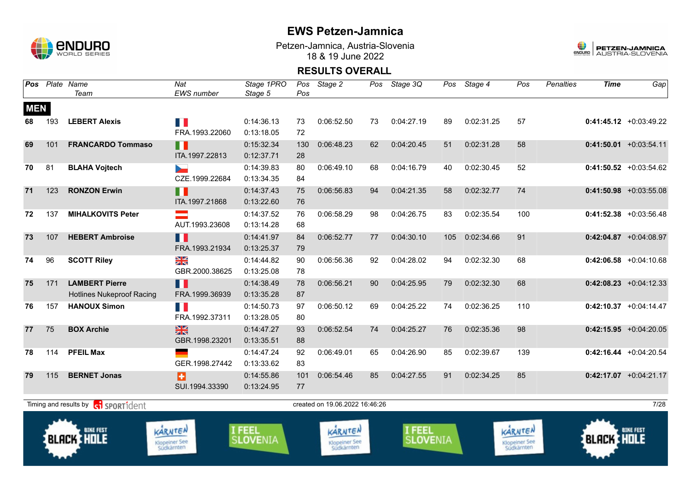

Petzen-Jamnica, Austria-Slovenia 18 & 19 June 2022



| Pos        |     | Plate Name<br>Team                                        | Nat<br><b>EWS</b> number               | Stage 1PRO<br>Stage 5            | Pos       | Pos Stage 2                            | Pos | Stage 3Q                  | Pos | Stage 4    | Pos                                    | <b>Penalties</b> | <b>Time</b>       | Gap                       |
|------------|-----|-----------------------------------------------------------|----------------------------------------|----------------------------------|-----------|----------------------------------------|-----|---------------------------|-----|------------|----------------------------------------|------------------|-------------------|---------------------------|
| <b>MEN</b> |     |                                                           |                                        |                                  |           |                                        |     |                           |     |            |                                        |                  |                   |                           |
| 68         | 193 | <b>LEBERT Alexis</b>                                      | T P<br>FRA.1993.22060                  | 0:14:36.13<br>0:13:18.05         | 73<br>72  | 0:06:52.50                             | 73  | 0:04:27.19                | 89  | 0:02:31.25 | 57                                     |                  |                   | $0:41:45.12 +0:03:49.22$  |
| 69         | 101 | <b>FRANCARDO Tommaso</b>                                  | П<br>ITA.1997.22813                    | 0:15:32.34<br>0:12:37.71         | 130<br>28 | 0:06:48.23                             | 62  | 0:04:20.45                | 51  | 0:02:31.28 | 58                                     |                  |                   | $0:41:50.01$ +0:03:54.11  |
| 70         | 81  | <b>BLAHA Vojtech</b>                                      | b.<br>CZE.1999.22684                   | 0:14:39.83<br>0:13:34.35         | 80<br>84  | 0:06:49.10                             | 68  | 0:04:16.79                | 40  | 0:02:30.45 | 52                                     |                  |                   | $0:41:50.52$ +0:03:54.62  |
| 71         | 123 | <b>RONZON Erwin</b>                                       | Ш<br>ITA.1997.21868                    | 0:14:37.43<br>0:13:22.60         | 75<br>76  | 0:06:56.83                             | 94  | 0:04:21.35                | 58  | 0:02:32.77 | 74                                     |                  |                   | $0:41:50.98$ +0:03:55.08  |
| 72         | 137 | <b>MIHALKOVITS Peter</b>                                  | $\equiv$<br>AUT.1993.23608             | 0:14:37.52<br>0:13:14.28         | 76<br>68  | 0:06:58.29                             | 98  | 0:04:26.75                | 83  | 0:02:35.54 | 100                                    |                  |                   | $0:41:52.38$ +0:03:56.48  |
| 73         | 107 | <b>HEBERT Ambroise</b>                                    | Ш<br>FRA.1993.21934                    | 0:14:41.97<br>0:13:25.37         | 84<br>79  | 0:06:52.77                             | 77  | 0:04:30.10                | 105 | 0:02:34.66 | 91                                     |                  |                   | $0:42:04.87$ +0:04:08.97  |
| 74         | 96  | <b>SCOTT Riley</b>                                        | XK<br>GBR.2000.38625                   | 0:14:44.82<br>0:13:25.08         | 90<br>78  | 0:06:56.36                             | 92  | 0:04:28.02                | 94  | 0:02:32.30 | 68                                     |                  |                   | $0:42:06.58$ +0:04:10.68  |
| 75         | 171 | <b>LAMBERT Pierre</b><br><b>Hotlines Nukeproof Racing</b> | Ш<br>FRA.1999.36939                    | 0:14:38.49<br>0:13:35.28         | 78<br>87  | 0:06:56.21                             | 90  | 0:04:25.95                | 79  | 0:02:32.30 | 68                                     |                  |                   | $0:42:08.23$ +0:04:12.33  |
| 76         | 157 | <b>HANOUX Simon</b>                                       | H N<br>FRA.1992.37311                  | 0:14:50.73<br>0:13:28.05         | 97<br>80  | 0:06:50.12                             | 69  | 0:04:25.22                | 74  | 0:02:36.25 | 110                                    |                  |                   | $0:42:10.37$ +0:04:14.47  |
| 77         | 75  | <b>BOX Archie</b>                                         | $\frac{N}{N}$<br>GBR.1998.23201        | 0:14:47.27<br>0:13:35.51         | 93<br>88  | 0:06:52.54                             | 74  | 0:04:25.27                | 76  | 0:02:35.36 | 98                                     |                  |                   | $0:42:15.95$ +0:04:20.05  |
| 78         | 114 | <b>PFEIL Max</b>                                          | GER.1998.27442                         | 0:14:47.24<br>0:13:33.62         | 92<br>83  | 0:06:49.01                             | 65  | 0:04:26.90                | 85  | 0:02:39.67 | 139                                    |                  |                   | $0:42:16.44 + 0:04:20.54$ |
| 79         | 115 | <b>BERNET Jonas</b>                                       | B<br>SUI.1994.33390                    | 0:14:55.86<br>0:13:24.95         | 101<br>77 | 0:06:54.46                             | 85  | 0:04:27.55                | 91  | 0:02:34.25 | 85                                     |                  |                   | $0:42:17.07$ +0:04:21.17  |
|            |     | Timing and results by contrident                          |                                        |                                  |           | created on 19.06.2022 16:46:26         |     |                           |     |            |                                        |                  |                   | 7/28                      |
|            |     | <b>BIKE FEST</b><br><b>BLACK THOLE</b>                    | KARNTEN<br>Klopeiner See<br>Südkärnten | <b>I FEEL</b><br><b>SLOVENIA</b> |           | KARNTEN<br>Klopeiner See<br>Südkärnten |     | I FEEL<br><b>SLOVENIA</b> |     |            | KARNTEN<br>Klopeiner See<br>Südkärnten |                  | <b>BLACK HOLE</b> | <b>BIKE FEST</b>          |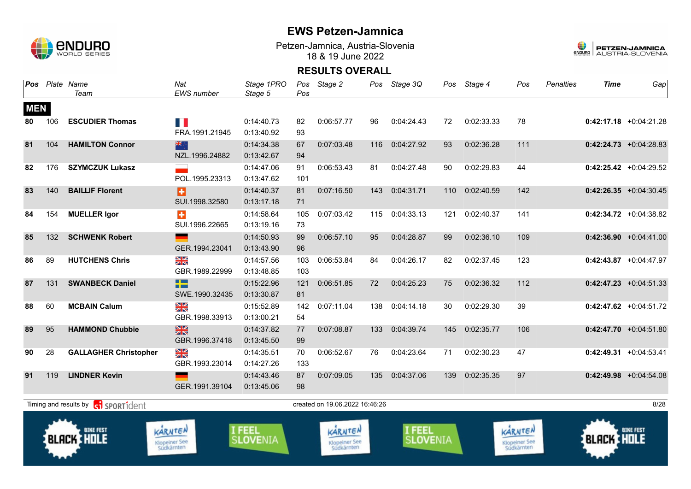

Petzen-Jamnica, Austria-Slovenia 18 & 19 June 2022



| Pos        |     | Plate Name<br>Team                                        | Nat<br><b>EWS</b> number               | Stage 1PRO<br>Stage 5     | Pos<br>Pos | Stage 2                                | Pos | Stage 3Q                  | Pos | Stage 4    | Pos                                    | <b>Penalties</b> | <b>Time</b>       | Gap                      |
|------------|-----|-----------------------------------------------------------|----------------------------------------|---------------------------|------------|----------------------------------------|-----|---------------------------|-----|------------|----------------------------------------|------------------|-------------------|--------------------------|
| <b>MEN</b> |     |                                                           |                                        |                           |            |                                        |     |                           |     |            |                                        |                  |                   |                          |
| 80         | 106 | <b>ESCUDIER Thomas</b>                                    | T B                                    | 0:14:40.73                | 82         | 0:06:57.77                             | 96  | 0:04:24.43                | 72  | 0:02:33.33 | 78                                     |                  |                   | $0:42:17.18$ +0:04:21.28 |
|            |     |                                                           | FRA.1991.21945                         | 0:13:40.92                | 93         |                                        |     |                           |     |            |                                        |                  |                   |                          |
| 81         | 104 | <b>HAMILTON Connor</b>                                    | 米                                      | 0:14:34.38                | 67         | 0:07:03.48                             | 116 | 0:04:27.92                | 93  | 0:02:36.28 | 111                                    |                  |                   | $0:42:24.73$ +0:04:28.83 |
|            |     |                                                           | NZL.1996.24882                         | 0:13:42.67                | 94         |                                        |     |                           |     |            |                                        |                  |                   |                          |
| 82         | 176 | <b>SZYMCZUK Lukasz</b>                                    |                                        | 0:14:47.06                | 91         | 0:06:53.43                             | 81  | 0:04:27.48                | 90  | 0:02:29.83 | 44                                     |                  |                   | $0:42:25.42$ +0:04:29.52 |
|            |     |                                                           | POL.1995.23313                         | 0:13:47.62                | 101        |                                        |     |                           |     |            |                                        |                  |                   |                          |
| 83         | 140 | <b>BAILLIF Florent</b>                                    | Ð                                      | 0:14:40.37                | 81         | 0:07:16.50                             | 143 | 0:04:31.71                | 110 | 0:02:40.59 | 142                                    |                  |                   | $0:42:26.35$ +0:04:30.45 |
|            |     |                                                           | SUI.1998.32580                         | 0:13:17.18                | 71         |                                        |     |                           |     |            |                                        |                  |                   |                          |
| 84         | 154 | <b>MUELLER Igor</b>                                       | $\ddot{\textbf{r}}$                    | 0:14:58.64                | 105        | 0:07:03.42                             | 115 | 0:04:33.13                | 121 | 0:02:40.37 | 141                                    |                  |                   | $0:42:34.72$ +0:04:38.82 |
|            |     |                                                           | SUI.1996.22665                         | 0:13:19.16                | 73         |                                        |     |                           |     |            |                                        |                  |                   |                          |
| 85         | 132 | <b>SCHWENK Robert</b>                                     |                                        | 0:14:50.93                | 99         | 0:06:57.10                             | 95  | 0:04:28.87                | 99  | 0:02:36.10 | 109                                    |                  |                   | $0:42:36.90 +0:04:41.00$ |
|            |     |                                                           | GER.1994.23041                         | 0:13:43.90                | 96         |                                        |     |                           |     |            |                                        |                  |                   |                          |
| 86         | 89  | <b>HUTCHENS Chris</b>                                     | $\frac{N}{N}$                          | 0:14:57.56                | 103        | 0:06:53.84                             | 84  | 0:04:26.17                | 82  | 0:02:37.45 | 123                                    |                  |                   | $0:42:43.87$ +0:04:47.97 |
|            |     |                                                           | GBR.1989.22999                         | 0:13:48.85                | 103        |                                        |     |                           |     |            |                                        |                  |                   |                          |
| 87         | 131 | <b>SWANBECK Daniel</b>                                    | n a                                    | 0:15:22.96                | 121        | 0:06:51.85                             | 72  | 0:04:25.23                | 75  | 0:02:36.32 | 112                                    |                  |                   | $0:42:47.23$ +0:04:51.33 |
|            |     |                                                           | SWE.1990.32435                         | 0:13:30.87                | 81         |                                        |     |                           |     |            |                                        |                  |                   |                          |
| 88         | 60  | <b>MCBAIN Calum</b>                                       | XK                                     | 0:15:52.89                | 142        | 0:07:11.04                             | 138 | 0:04:14.18                | 30  | 0:02:29.30 | 39                                     |                  |                   | $0:42:47.62$ +0:04:51.72 |
|            |     |                                                           | GBR.1998.33913                         | 0:13:00.21                | 54         |                                        |     |                           |     |            |                                        |                  |                   |                          |
| 89         | 95  | <b>HAMMOND Chubbie</b>                                    | $\frac{N}{N}$                          | 0:14:37.82                | 77         | 0:07:08.87                             | 133 | 0:04:39.74                | 145 | 0:02:35.77 | 106                                    |                  |                   | $0:42:47.70 +0:04:51.80$ |
|            |     |                                                           | GBR.1996.37418                         | 0:13:45.50                | 99         |                                        |     |                           |     |            |                                        |                  |                   |                          |
| 90         | 28  | <b>GALLAGHER Christopher</b>                              | XK                                     | 0:14:35.51                | 70         | 0:06:52.67                             | 76  | 0:04:23.64                | 71  | 0:02:30.23 | 47                                     |                  |                   | $0:42:49.31$ +0:04:53.41 |
|            |     |                                                           | GBR.1993.23014                         | 0:14:27.26                | 133        |                                        |     |                           |     |            |                                        |                  |                   |                          |
| 91         | 119 | <b>LINDNER Kevin</b>                                      |                                        | 0:14:43.46                | 87         | 0:07:09.05                             | 135 | 0:04:37.06                | 139 | 0:02:35.35 | 97                                     |                  |                   | $0:42:49.98$ +0:04:54.08 |
|            |     |                                                           | GER.1991.39104                         | 0:13:45.06                | 98         |                                        |     |                           |     |            |                                        |                  |                   |                          |
|            |     | Timing and results by <b>contains and the SPORT1</b> dent |                                        |                           |            | created on 19.06.2022 16:46:26         |     |                           |     |            |                                        |                  |                   | 8/28                     |
|            |     | <b>BIKE FEST</b><br><b>BLACK HOLE</b>                     | KARNTEN<br>Klopeiner See<br>Südkärnten | I FEEL<br><b>SLOVENIA</b> |            | KARNTEN<br>Klopeiner See<br>Südkärnten |     | I FEEL<br><b>SLOVENIA</b> |     |            | KARNTEN<br>Klopeiner See<br>Südkärnten |                  | <b>BLACK HOLE</b> | <b>BIKE FEST</b>         |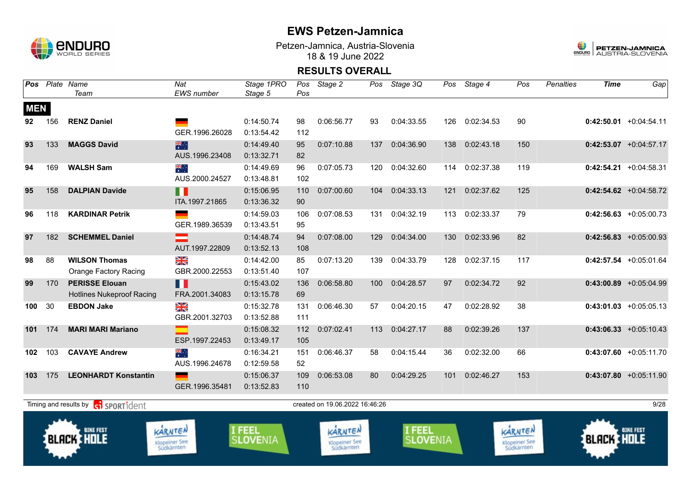

Petzen-Jamnica, Austria-Slovenia 18 & 19 June 2022



| Pos        |     | Plate Name<br>Team                                        | Nat<br>EWS number                      | Stage 1PRO<br>Stage 5     | Pos<br>Pos | Stage 2                                       | Pos | Stage 3Q                  | Pos | Stage 4    | Pos                                    | <b>Penalties</b> | <b>Time</b>       | Gap                       |
|------------|-----|-----------------------------------------------------------|----------------------------------------|---------------------------|------------|-----------------------------------------------|-----|---------------------------|-----|------------|----------------------------------------|------------------|-------------------|---------------------------|
| <b>MEN</b> |     |                                                           |                                        |                           |            |                                               |     |                           |     |            |                                        |                  |                   |                           |
| 92         | 156 | <b>RENZ Daniel</b>                                        | GER.1996.26028                         | 0:14:50.74<br>0:13:54.42  | 98<br>112  | 0:06:56.77                                    | 93  | 0:04:33.55                | 126 | 0:02:34.53 | 90                                     |                  |                   | $0:42:50.01 + 0:04:54.11$ |
| 93         | 133 | <b>MAGGS David</b>                                        | 業<br>AUS.1996.23408                    | 0:14:49.40<br>0:13:32.71  | 95<br>82   | 0:07:10.88                                    | 137 | 0:04:36.90                | 138 | 0:02:43.18 | 150                                    |                  |                   | $0:42:53.07$ +0:04:57.17  |
| 94         | 169 | <b>WALSH Sam</b>                                          | ▓<br>AUS.2000.24527                    | 0:14:49.69<br>0:13:48.81  | 96<br>102  | 0:07:05.73                                    | 120 | 0:04:32.60                | 114 | 0:02:37.38 | 119                                    |                  |                   | $0:42:54.21 + 0:04:58.31$ |
| 95         | 158 | <b>DALPIAN Davide</b>                                     | n<br>ITA.1997.21865                    | 0:15:06.95<br>0:13:36.32  | 110<br>90  | 0:07:00.60                                    | 104 | 0:04:33.13                | 121 | 0:02:37.62 | 125                                    |                  |                   | $0:42:54.62$ +0:04:58.72  |
| 96         | 118 | <b>KARDINAR Petrik</b>                                    | GER.1989.36539                         | 0:14:59.03<br>0:13:43.51  | 106<br>95  | 0:07:08.53                                    | 131 | 0:04:32.19                | 113 | 0:02:33.37 | 79                                     |                  |                   | $0:42:56.63$ +0:05:00.73  |
| 97         | 182 | <b>SCHEMMEL Daniel</b>                                    | AUT.1997.22809                         | 0:14:48.74<br>0:13:52.13  | 94<br>108  | 0:07:08.00                                    | 129 | 0:04:34.00                | 130 | 0:02:33.96 | 82                                     |                  |                   | $0:42:56.83$ +0:05:00.93  |
| 98         | 88  | <b>WILSON Thomas</b><br><b>Orange Factory Racing</b>      | XK<br>GBR.2000.22553                   | 0:14:42.00<br>0:13:51.40  | 85<br>107  | 0:07:13.20                                    | 139 | 0:04:33.79                | 128 | 0:02:37.15 | 117                                    |                  |                   | $0:42:57.54$ +0:05:01.64  |
| 99         | 170 | <b>PERISSE Elouan</b><br><b>Hotlines Nukeproof Racing</b> | Ш<br>FRA.2001.34083                    | 0:15:43.02<br>0:13:15.78  | 136<br>69  | 0:06:58.80                                    | 100 | 0:04:28.57                | 97  | 0:02:34.72 | 92                                     |                  |                   | $0:43:00.89$ +0:05:04.99  |
| 100        | 30  | <b>EBDON Jake</b>                                         | X<br>GBR.2001.32703                    | 0:15:32.78<br>0:13:52.88  | 131<br>111 | 0:06:46.30                                    | 57  | 0:04:20.15                | 47  | 0:02:28.92 | 38                                     |                  |                   | $0:43:01.03 +0:05:05.13$  |
| 101        | 174 | <b>MARI MARI Mariano</b>                                  | ESP.1997.22453                         | 0:15:08.32<br>0:13:49.17  | 112<br>105 | 0:07:02.41                                    | 113 | 0:04:27.17                | 88  | 0:02:39.26 | 137                                    |                  |                   | $0:43:06.33 +0:05:10.43$  |
| 102        | 103 | <b>CAVAYE Andrew</b>                                      | সু≰<br>*<br>AUS.1996.24678             | 0:16:34.21<br>0:12:59.58  | 151<br>52  | 0:06:46.37                                    | 58  | 0:04:15.44                | 36  | 0:02:32.00 | 66                                     |                  |                   | $0:43:07.60$ +0:05:11.70  |
| 103        | 175 | <b>LEONHARDT Konstantin</b>                               | <u>and</u><br>GER.1996.35481           | 0:15:06.37<br>0:13:52.83  | 109<br>110 | 0:06:53.08                                    | 80  | 0:04:29.25                | 101 | 0:02:46.27 | 153                                    |                  |                   | $0:43:07.80$ +0:05:11.90  |
|            |     | Timing and results by contract SPORT1dent                 |                                        |                           |            | created on 19.06.2022 16:46:26                |     |                           |     |            |                                        |                  |                   | 9/28                      |
|            |     | <b>BIKE FEST</b><br><b>BLACK HOLE</b>                     | KARNTEN<br>Klopeiner See<br>Südkärnten | I FEEL<br><b>SLOVENIA</b> |            | KARNTEN<br><b>Klopeiner See</b><br>Südkärnten |     | I FEEL<br><b>SLOVENIA</b> |     |            | KARNTEN<br>Klopeiner See<br>Südkärnten |                  | <b>BLACK HOLE</b> | <b>BIKE FEST</b>          |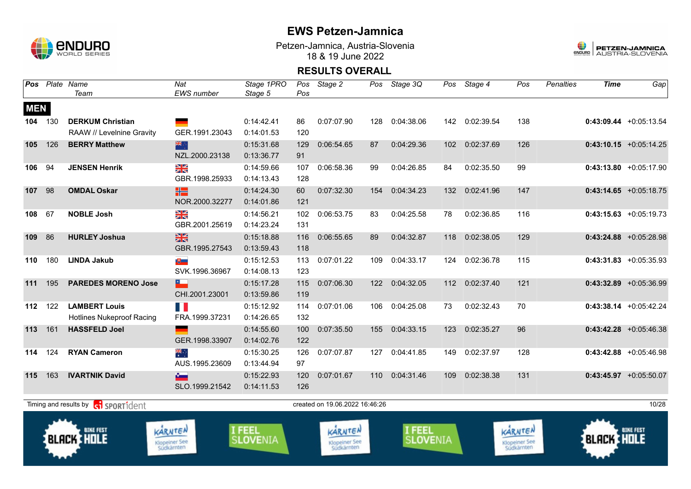

Petzen-Jamnica, Austria-Slovenia 18 & 19 June 2022



|            |     | Pos Plate Name<br>Team                            | Nat<br>EWS number                                                                                                                                                                                                              | Stage 1PRO<br>Stage 5            | Pos | Pos Stage 2                                   | Pos | Stage 3Q                  |     | Pos Stage 4    | Pos                                           | <b>Penalties</b> | <b>Time</b>       | Gap                       |
|------------|-----|---------------------------------------------------|--------------------------------------------------------------------------------------------------------------------------------------------------------------------------------------------------------------------------------|----------------------------------|-----|-----------------------------------------------|-----|---------------------------|-----|----------------|-----------------------------------------------|------------------|-------------------|---------------------------|
| <b>MEN</b> |     |                                                   |                                                                                                                                                                                                                                |                                  |     |                                               |     |                           |     |                |                                               |                  |                   |                           |
| 104        | 130 | <b>DERKUM Christian</b>                           |                                                                                                                                                                                                                                | 0:14:42.41                       | 86  | 0:07:07.90                                    | 128 | 0:04:38.06                |     | 142 0:02:39.54 | 138                                           |                  |                   | $0:43:09.44 + 0:05:13.54$ |
|            |     | RAAW // Levelnine Gravity                         | GER.1991.23043                                                                                                                                                                                                                 | 0:14:01.53                       | 120 |                                               |     |                           |     |                |                                               |                  |                   |                           |
| 105        | 126 | <b>BERRY Matthew</b>                              | 米亭                                                                                                                                                                                                                             | 0:15:31.68                       | 129 | 0:06:54.65                                    | 87  | 0:04:29.36                | 102 | 0:02:37.69     | 126                                           |                  |                   | $0:43:10.15$ +0:05:14.25  |
|            |     |                                                   | NZL.2000.23138                                                                                                                                                                                                                 | 0:13:36.77                       | 91  |                                               |     |                           |     |                |                                               |                  |                   |                           |
| 106        | 94  | <b>JENSEN Henrik</b>                              | XK                                                                                                                                                                                                                             | 0:14:59.66                       | 107 | 0:06:58.36                                    | 99  | 0:04:26.85                | 84  | 0:02:35.50     | 99                                            |                  |                   | $0:43:13.80 +0:05:17.90$  |
|            |     |                                                   | GBR.1998.25933                                                                                                                                                                                                                 | 0:14:13.43                       | 128 |                                               |     |                           |     |                |                                               |                  |                   |                           |
| 107        | 98  | <b>OMDAL Oskar</b>                                | HS                                                                                                                                                                                                                             | 0:14:24.30                       | 60  | 0:07:32.30                                    | 154 | 0:04:34.23                | 132 | 0:02:41.96     | 147                                           |                  |                   | $0:43:14.65$ +0:05:18.75  |
|            |     |                                                   | NOR.2000.32277                                                                                                                                                                                                                 | 0:14:01.86                       | 121 |                                               |     |                           |     |                |                                               |                  |                   |                           |
| 108        | 67  | <b>NOBLE Josh</b>                                 | XK                                                                                                                                                                                                                             | 0:14:56.21                       | 102 | 0:06:53.75                                    | 83  | 0:04:25.58                | 78  | 0:02:36.85     | 116                                           |                  |                   | $0:43:15.63 + 0:05:19.73$ |
|            |     |                                                   | GBR.2001.25619                                                                                                                                                                                                                 | 0:14:23.24                       | 131 |                                               |     |                           |     |                |                                               |                  |                   |                           |
| 109        | 86  | <b>HURLEY Joshua</b>                              | 米                                                                                                                                                                                                                              | 0:15:18.88                       | 116 | 0:06:55.65                                    | 89  | 0:04:32.87                | 118 | 0:02:38.05     | 129                                           |                  |                   | $0:43:24.88$ +0:05:28.98  |
|            |     |                                                   | GBR.1995.27543                                                                                                                                                                                                                 | 0:13:59.43                       | 118 |                                               |     |                           |     |                |                                               |                  |                   |                           |
| 110        | 180 | <b>LINDA Jakub</b>                                | ₩                                                                                                                                                                                                                              | 0:15:12.53                       | 113 | 0:07:01.22                                    | 109 | 0:04:33.17                | 124 | 0:02:36.78     | 115                                           |                  |                   | $0:43:31.83$ +0:05:35.93  |
|            |     |                                                   | SVK.1996.36967                                                                                                                                                                                                                 | 0:14:08.13                       | 123 |                                               |     |                           |     |                |                                               |                  |                   |                           |
| 111        | 195 | <b>PAREDES MORENO Jose</b>                        | $\overline{\phantom{a}}$                                                                                                                                                                                                       | 0:15:17.28                       | 115 | 0:07:06.30                                    | 122 | 0:04:32.05                | 112 | 0:02:37.40     | 121                                           |                  |                   | $0:43:32.89$ +0:05:36.99  |
|            |     |                                                   | CHI.2001.23001                                                                                                                                                                                                                 | 0:13:59.86                       | 119 |                                               |     |                           |     |                |                                               |                  |                   |                           |
| 112        | 122 | <b>LAMBERT Louis</b>                              | H.                                                                                                                                                                                                                             | 0:15:12.92                       | 114 | 0:07:01.06                                    | 106 | 0:04:25.08                | 73  | 0:02:32.43     | 70                                            |                  |                   | $0:43:38.14$ +0:05:42.24  |
|            |     | <b>Hotlines Nukeproof Racing</b>                  | FRA.1999.37231                                                                                                                                                                                                                 | 0:14:26.65                       | 132 |                                               |     |                           |     |                |                                               |                  |                   |                           |
| 113        | 161 | <b>HASSFELD Joel</b>                              | and the contract of the contract of the contract of the contract of the contract of the contract of the contract of the contract of the contract of the contract of the contract of the contract of the contract of the contra | 0:14:55.60                       | 100 | 0:07:35.50                                    | 155 | 0:04:33.15                | 123 | 0:02:35.27     | 96                                            |                  |                   | $0:43:42.28$ +0:05:46.38  |
|            |     |                                                   | GER.1998.33907                                                                                                                                                                                                                 | 0:14:02.76                       | 122 |                                               |     |                           |     |                |                                               |                  |                   |                           |
| 114        | 124 | <b>RYAN Cameron</b>                               | ैं हैं                                                                                                                                                                                                                         | 0:15:30.25                       | 126 | 0:07:07.87                                    | 127 | 0:04:41.85                | 149 | 0:02:37.97     | 128                                           |                  |                   | $0:43:42.88$ +0:05:46.98  |
|            |     |                                                   | AUS.1995.23609                                                                                                                                                                                                                 | 0:13:44.94                       | 97  |                                               |     |                           |     |                |                                               |                  |                   |                           |
| 115        | 163 | <b>IVARTNIK David</b>                             | $\sim$                                                                                                                                                                                                                         | 0:15:22.93                       | 120 | 0:07:01.67                                    | 110 | 0:04:31.46                | 109 | 0:02:38.38     | 131                                           |                  |                   | $0:43:45.97$ +0:05:50.07  |
|            |     |                                                   | SLO.1999.21542                                                                                                                                                                                                                 | 0:14:11.53                       | 126 |                                               |     |                           |     |                |                                               |                  |                   |                           |
|            |     | Timing and results by <b>contains and results</b> |                                                                                                                                                                                                                                |                                  |     | created on 19.06.2022 16.46:26                |     |                           |     |                |                                               |                  |                   | 10/28                     |
|            |     | <b>BIKE FEST</b><br><b>BLACK HOLE</b>             | KARNTEN<br><b>Klopeiner See</b><br>Südkärnten                                                                                                                                                                                  | <b>I FEEL</b><br><b>SLOVENIA</b> |     | KARNTEN<br><b>Klopeiner See</b><br>Südkärnten |     | I FEEL<br><b>SLOVENIA</b> |     |                | KARNTEN<br><b>Klopeiner See</b><br>Südkärnten |                  | <b>BLACK HOLE</b> | <b>BIKE FEST</b>          |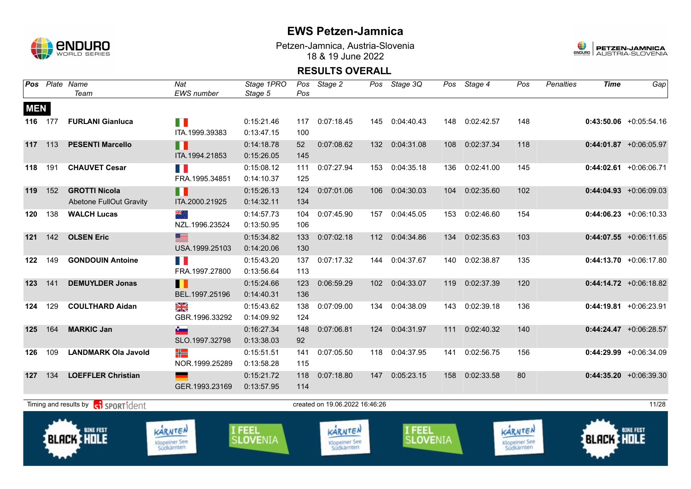

Petzen-Jamnica, Austria-Slovenia 18 & 19 June 2022



|            |         | Pos Plate Name<br>Team                                 | Nat<br>EWS number                      | Stage 1PRO<br>Stage 5     | Pos        | Pos Stage 2                                   |                  | Pos Stage 3Q              |     | Pos Stage 4 | Pos                                    | <b>Penalties</b> | <b>Time</b>       | Gap                      |
|------------|---------|--------------------------------------------------------|----------------------------------------|---------------------------|------------|-----------------------------------------------|------------------|---------------------------|-----|-------------|----------------------------------------|------------------|-------------------|--------------------------|
| <b>MEN</b> |         |                                                        |                                        |                           |            |                                               |                  |                           |     |             |                                        |                  |                   |                          |
|            | 116 177 | <b>FURLANI Gianluca</b>                                | H I<br>ITA.1999.39383                  | 0:15:21.46<br>0:13:47.15  | 100        | 117 0:07:18.45                                | 145              | 0:04:40.43                | 148 | 0:02:42.57  | 148                                    |                  |                   | $0:43:50.06$ +0:05:54.16 |
| 117        | 113     | <b>PESENTI Marcello</b>                                | П<br>ITA.1994.21853                    | 0:14:18.78<br>0:15:26.05  | 52<br>145  | 0:07:08.62                                    | 132              | 0:04:31.08                | 108 | 0:02:37.34  | 118                                    |                  |                   | $0:44:01.87$ +0:06:05.97 |
| 118        | 191     | <b>CHAUVET Cesar</b>                                   | n p<br>FRA.1995.34851                  | 0:15:08.12<br>0:14:10.37  | 111<br>125 | 0:07:27.94                                    | 153              | 0:04:35.18                | 136 | 0:02:41.00  | 145                                    |                  |                   | $0:44:02.61$ +0:06:06.71 |
| 119        | 152     | <b>GROTTI Nicola</b><br><b>Abetone FullOut Gravity</b> | H<br>ITA.2000.21925                    | 0:15:26.13<br>0:14:32.11  | 124<br>134 | 0:07:01.06                                    | 106              | 0:04:30.03                | 104 | 0:02:35.60  | 102                                    |                  |                   | $0:44:04.93$ +0:06:09.03 |
| 120        | 138     | <b>WALCH Lucas</b>                                     | ्रेह<br>NZL.1996.23524                 | 0:14:57.73<br>0:13:50.95  | 104<br>106 | 0:07:45.90                                    | 157              | 0:04:45.05                | 153 | 0:02:46.60  | 154                                    |                  |                   | $0:44:06.23 +0:06:10.33$ |
| 121        | 142     | <b>OLSEN Eric</b>                                      | 三<br>USA.1999.25103                    | 0:15:34.82<br>0:14:20.06  | 133<br>130 | 0:07:02.18                                    | 112              | 0:04:34.86                | 134 | 0:02:35.63  | 103                                    |                  |                   | $0:44:07.55$ +0:06:11.65 |
| 122 149    |         | <b>GONDOUIN Antoine</b>                                | T D<br>FRA.1997.27800                  | 0:15:43.20<br>0:13:56.64  | 137<br>113 | 0:07:17.32                                    | 144              | 0:04:37.67                | 140 | 0:02:38.87  | 135                                    |                  |                   | $0:44:13.70 +0:06:17.80$ |
| 123        | 141     | <b>DEMUYLDER Jonas</b>                                 | Ш<br>BEL.1997.25196                    | 0:15:24.66<br>0:14:40.31  | 123<br>136 | 0:06:59.29                                    | 102 <sub>2</sub> | 0:04:33.07                | 119 | 0:02:37.39  | 120                                    |                  |                   | $0:44:14.72 +0:06:18.82$ |
| 124        | 129     | <b>COULTHARD Aidan</b>                                 | XK<br>GBR.1996.33292                   | 0:15:43.62<br>0:14:09.92  | 138<br>124 | 0:07:09.00                                    | 134              | 0:04:38.09                | 143 | 0:02:39.18  | 136                                    |                  |                   | $0:44:19.81$ +0:06:23.91 |
| 125        | 164     | <b>MARKIC Jan</b>                                      | $\sim$<br>SLO.1997.32798               | 0:16:27.34<br>0:13:38.03  | 148<br>92  | 0:07:06.81                                    | 124              | 0:04:31.97                | 111 | 0:02:40.32  | 140                                    |                  |                   | $0:44:24.47$ +0:06:28.57 |
| 126        | 109     | <b>LANDMARK Ola Javold</b>                             | ╬<br>NOR.1999.25289                    | 0:15:51.51<br>0:13:58.28  | 141<br>115 | 0:07:05.50                                    | 118              | 0:04:37.95                | 141 | 0:02:56.75  | 156                                    |                  |                   | $0:44:29.99$ +0:06:34.09 |
| 127        | 134     | <b>LOEFFLER Christian</b>                              | GER.1993.23169                         | 0:15:21.72<br>0:13:57.95  | 118<br>114 | 0:07:18.80                                    | 147              | 0:05:23.15                | 158 | 0:02:33.58  | 80                                     |                  |                   | $0:44:35.20 +0:06:39.30$ |
|            |         | Timing and results by ci SPORT1dent                    |                                        |                           |            | created on 19.06.2022 16:46:26                |                  |                           |     |             |                                        |                  |                   | 11/28                    |
|            |         | <b>BIKE FEST</b><br>BLACK I HOLE                       | KARNTEN<br>Klopeiner See<br>Südkärnten | I FEEL<br><b>SLOVENIA</b> |            | KARNTEN<br><b>Klopeiner See</b><br>Südkärnten |                  | I FEEL<br><b>SLOVENIA</b> |     |             | KARNTEN<br>Klopeiner See<br>Südkärnten |                  | <b>BLACK HOLE</b> | <b>BIKE FEST</b>         |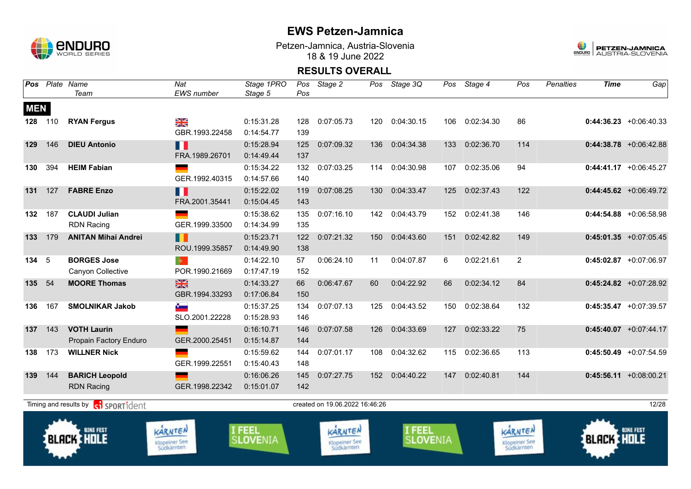

Petzen-Jamnica, Austria-Slovenia 18 & 19 June 2022



|            |     | Pos Plate Name<br>Team                           | Nat<br>EWS number                              | Stage 1PRO<br>Stage 5            | Pos<br>Pos | Stage 2                                | Pos | Stage 3Q                         | Pos | Stage 4    | Pos                                    | <b>Penalties</b> | <b>Time</b>       | Gap                       |
|------------|-----|--------------------------------------------------|------------------------------------------------|----------------------------------|------------|----------------------------------------|-----|----------------------------------|-----|------------|----------------------------------------|------------------|-------------------|---------------------------|
| <b>MEN</b> |     |                                                  |                                                |                                  |            |                                        |     |                                  |     |            |                                        |                  |                   |                           |
| 128        | 110 | <b>RYAN Fergus</b>                               | XK<br>ZK<br>GBR.1993.22458                     | 0:15:31.28<br>0:14:54.77         | 128<br>139 | 0:07:05.73                             | 120 | 0:04:30.15                       | 106 | 0:02:34.30 | 86                                     |                  |                   | $0:44:36.23 + 0:06:40.33$ |
| 129        | 146 | <b>DIEU Antonio</b>                              | n<br>FRA.1989.26701                            | 0:15:28.94<br>0:14:49.44         | 125<br>137 | 0:07:09.32                             | 136 | 0:04:34.38                       | 133 | 0:02:36.70 | 114                                    |                  |                   | $0:44:38.78$ +0:06:42.88  |
| 130        | 394 | <b>HEIM Fabian</b>                               | GER.1992.40315                                 | 0:15:34.22<br>0:14:57.66         | 132<br>140 | 0:07:03.25                             | 114 | 0:04:30.98                       | 107 | 0:02:35.06 | 94                                     |                  |                   | $0:44:41.17$ +0:06:45.27  |
| 131        | 127 | <b>FABRE Enzo</b>                                | Ш<br>FRA.2001.35441                            | 0:15:22.02<br>0:15:04.45         | 119<br>143 | 0:07:08.25                             | 130 | 0:04:33.47                       | 125 | 0:02:37.43 | 122                                    |                  |                   | $0:44:45.62$ +0:06:49.72  |
| 132        | 187 | <b>CLAUDI Julian</b><br><b>RDN Racing</b>        | GER.1999.33500                                 | 0:15:38.62<br>0:14:34.99         | 135<br>135 | 0:07:16.10                             | 142 | 0:04:43.79                       | 152 | 0:02:41.38 | 146                                    |                  |                   | $0:44:54.88$ +0:06:58.98  |
| 133        | 179 | <b>ANITAN Mihai Andrei</b>                       | Ш<br>ROU.1999.35857                            | 0:15:23.71<br>0:14:49.90         | 122<br>138 | 0:07:21.32                             | 150 | 0:04:43.60                       | 151 | 0:02:42.82 | 149                                    |                  |                   | $0:45:01.35$ +0:07:05.45  |
| 134        | 5   | <b>BORGES Jose</b><br>Canyon Collective          | $\langle \mathbf{0} \rangle$<br>POR.1990.21669 | 0:14:22.10<br>0:17:47.19         | 57<br>152  | 0:06:24.10                             | 11  | 0:04:07.87                       | 6   | 0:02:21.61 | $\overline{2}$                         |                  |                   | $0:45:02.87$ +0:07:06.97  |
| 135        | 54  | <b>MOORE Thomas</b>                              | $rac{N}{N}$<br>GBR.1994.33293                  | 0:14:33.27<br>0:17:06.84         | 66<br>150  | 0:06:47.67                             | 60  | 0:04:22.92                       | 66  | 0:02:34.12 | 84                                     |                  |                   | $0:45:24.82$ +0:07:28.92  |
| 136        | 167 | <b>SMOLNIKAR Jakob</b>                           | $\bullet$<br>SLO.2001.22228                    | 0:15:37.25<br>0:15:28.93         | 134<br>146 | 0:07:07.13                             | 125 | 0:04:43.52                       | 150 | 0:02:38.64 | 132                                    |                  |                   | $0:45:35.47$ +0:07:39.57  |
| 137        | 143 | <b>VOTH Laurin</b><br>Propain Factory Enduro     | <u>and</u><br>GER.2000.25451                   | 0:16:10.71<br>0:15:14.87         | 146<br>144 | 0:07:07.58                             | 126 | 0:04:33.69                       | 127 | 0:02:33.22 | 75                                     |                  |                   | $0:45:40.07 + 0:07:44.17$ |
| 138        | 173 | <b>WILLNER Nick</b>                              | GER.1999.22551                                 | 0:15:59.62<br>0:15:40.43         | 144<br>148 | 0:07:01.17                             | 108 | 0:04:32.62                       | 115 | 0:02:36.65 | 113                                    |                  |                   | $0:45:50.49$ +0:07:54.59  |
| 139        | 144 | <b>BARICH Leopold</b><br><b>RDN Racing</b>       | GER.1998.22342                                 | 0:16:06.26<br>0:15:01.07         | 145<br>142 | 0:07:27.75                             | 152 | 0:04:40.22                       | 147 | 0:02:40.81 | 144                                    |                  |                   | $0:45:56.11 + 0:08:00.21$ |
|            |     | Timing and results by consent of the SPORT1 dent |                                                |                                  |            | created on 19.06.2022 16:46:26         |     |                                  |     |            |                                        |                  |                   | 12/28                     |
|            |     | <b>BIKE FEST</b><br><b>BLACK HOLE</b>            | KARNTEN<br>Klopeiner See<br>Südkärnten         | <b>I FEEL</b><br><b>SLOVENIA</b> |            | KARNTEN<br>Klopeiner See<br>Südkärnten |     | <b>I FEEL</b><br><b>SLOVENIA</b> |     |            | KARNTEN<br>Klopeiner See<br>Südkärnten |                  | <b>BLACK HOLE</b> | <b>BIKE FEST</b>          |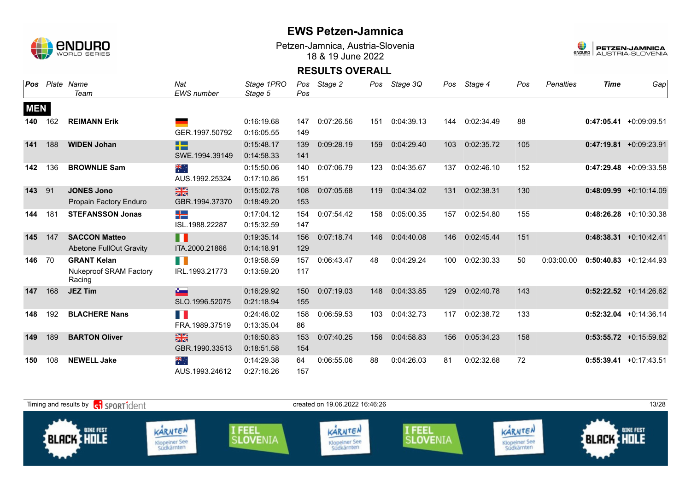

Petzen-Jamnica, Austria-Slovenia 18 & 19 June 2022



| Pos        |     | Plate Name                              | Nat                  | Stage 1PRO | Pos | Stage 2    | Pos | Stage 3Q   | Pos | Stage 4    | Pos | <b>Penalties</b> | <b>Time</b> | Gap                       |
|------------|-----|-----------------------------------------|----------------------|------------|-----|------------|-----|------------|-----|------------|-----|------------------|-------------|---------------------------|
|            |     | Team                                    | <b>EWS</b> number    | Stage 5    | Pos |            |     |            |     |            |     |                  |             |                           |
| <b>MEN</b> |     |                                         |                      |            |     |            |     |            |     |            |     |                  |             |                           |
| 140        | 162 | <b>REIMANN Erik</b>                     |                      | 0:16:19.68 | 147 | 0:07:26.56 | 151 | 0:04:39.13 | 144 | 0:02:34.49 | 88  |                  |             | $0:47:05.41 + 0:09:09.51$ |
|            |     |                                         | GER.1997.50792       | 0:16:05.55 | 149 |            |     |            |     |            |     |                  |             |                           |
| 141        | 188 | <b>WIDEN Johan</b>                      | ł۳                   | 0:15:48.17 | 139 | 0:09:28.19 | 159 | 0:04:29.40 | 103 | 0:02:35.72 | 105 |                  |             | $0:47:19.81 + 0:09:23.91$ |
|            |     |                                         | SWE.1994.39149       | 0:14:58.33 | 141 |            |     |            |     |            |     |                  |             |                           |
| 142        | 136 | <b>BROWNLIE Sam</b>                     | $\frac{1}{\sqrt{2}}$ | 0:15:50.06 | 140 | 0:07:06.79 | 123 | 0:04:35.67 | 137 | 0:02:46.10 | 152 |                  |             | $0:47:29.48$ +0:09:33.58  |
|            |     |                                         | AUS.1992.25324       | 0:17:10.86 | 151 |            |     |            |     |            |     |                  |             |                           |
| 143        | 91  | <b>JONES Jono</b>                       | $\frac{28}{28}$      | 0:15:02.78 | 108 | 0:07:05.68 | 119 | 0:04:34.02 | 131 | 0:02:38.31 | 130 |                  |             | $0:48:09.99 +0:10:14.09$  |
|            |     | <b>Propain Factory Enduro</b>           | GBR.1994.37370       | 0:18:49.20 | 153 |            |     |            |     |            |     |                  |             |                           |
| 144        | 181 | <b>STEFANSSON Jonas</b>                 | ╉═                   | 0:17:04.12 | 154 | 0:07:54.42 | 158 | 0:05:00.35 | 157 | 0:02:54.80 | 155 |                  |             | $0:48:26.28 + 0:10:30.38$ |
|            |     |                                         | ISL.1988.22287       | 0:15:32.59 | 147 |            |     |            |     |            |     |                  |             |                           |
| 145        | 147 | <b>SACCON Matteo</b>                    | Ш                    | 0:19:35.14 | 156 | 0:07:18.74 | 146 | 0:04:40.08 | 146 | 0:02:45.44 | 151 |                  |             | $0:48:38.31 + 0:10:42.41$ |
|            |     | <b>Abetone FullOut Gravity</b>          | ITA.2000.21866       | 0:14:18.91 | 129 |            |     |            |     |            |     |                  |             |                           |
| 146        | 70  | <b>GRANT Kelan</b>                      | H                    | 0:19:58.59 | 157 | 0:06:43.47 | 48  | 0:04:29.24 | 100 | 0:02:30.33 | 50  | 0:03:00.00       |             | $0:50:40.83$ +0:12:44.93  |
|            |     | <b>Nukeproof SRAM Factory</b><br>Racing | IRL.1993.21773       | 0:13:59.20 | 117 |            |     |            |     |            |     |                  |             |                           |
| 147        | 168 | <b>JEZ Tim</b>                          | $\sim$               | 0:16:29.92 | 150 | 0:07:19.03 | 148 | 0:04:33.85 | 129 | 0:02:40.78 | 143 |                  |             | $0:52:22.52$ +0:14:26.62  |
|            |     |                                         | SLO.1996.52075       | 0:21:18.94 | 155 |            |     |            |     |            |     |                  |             |                           |
| 148        | 192 | <b>BLACHERE Nans</b>                    | <b>TIME</b>          | 0:24:46.02 | 158 | 0:06:59.53 | 103 | 0:04:32.73 | 117 | 0:02:38.72 | 133 |                  |             | $0:52:32.04$ +0:14:36.14  |
|            |     |                                         | FRA.1989.37519       | 0:13:35.04 | 86  |            |     |            |     |            |     |                  |             |                           |
| 149        | 189 | <b>BARTON Oliver</b>                    | $\frac{N}{N}$        | 0:16:50.83 | 153 | 0:07:40.25 | 156 | 0:04:58.83 | 156 | 0:05:34.23 | 158 |                  |             | $0:53:55.72$ +0:15:59.82  |
|            |     |                                         | GBR.1990.33513       | 0:18:51.58 | 154 |            |     |            |     |            |     |                  |             |                           |
| 150        | 108 | <b>NEWELL Jake</b>                      | ्हें                 | 0:14:29.38 | 64  | 0:06:55.06 | 88  | 0:04:26.03 | 81  | 0:02:32.68 | 72  |                  |             | $0:55:39.41 +0:17:43.51$  |
|            |     |                                         | AUS.1993.24612       | 0:27:16.26 | 157 |            |     |            |     |            |     |                  |             |                           |

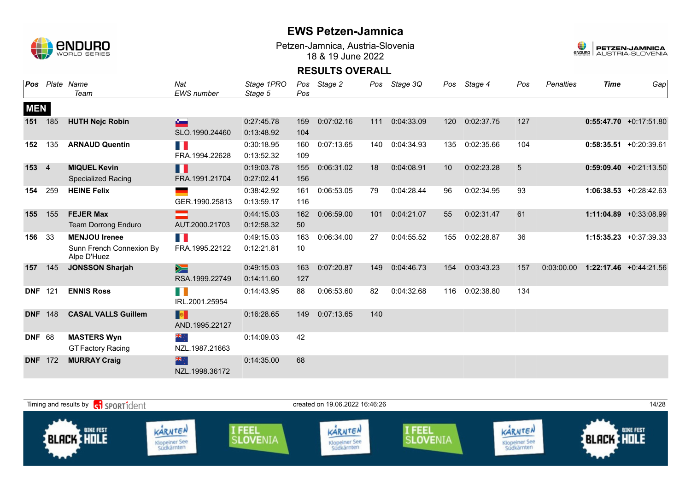

Petzen-Jamnica, Austria-Slovenia 18 & 19 June 2022



| Pos            |                | Plate Name                              | Nat               | Stage 1PRO |     | Pos Stage 2 | Pos | Stage 3Q   | Pos | Stage 4    | Pos | <b>Penalties</b> | <b>Time</b> | Gap                       |
|----------------|----------------|-----------------------------------------|-------------------|------------|-----|-------------|-----|------------|-----|------------|-----|------------------|-------------|---------------------------|
|                |                | Team                                    | <b>EWS</b> number | Stage 5    | Pos |             |     |            |     |            |     |                  |             |                           |
| <b>MEN</b>     |                |                                         |                   |            |     |             |     |            |     |            |     |                  |             |                           |
| 151            | 185            | <b>HUTH Nejc Robin</b>                  | $\mathbf{v}$      | 0:27:45.78 | 159 | 0:07:02.16  | 111 | 0:04:33.09 | 120 | 0:02:37.75 | 127 |                  |             | $0:55:47.70 +0:17:51.80$  |
|                |                |                                         | SLO.1990.24460    | 0:13:48.92 | 104 |             |     |            |     |            |     |                  |             |                           |
| 152            | 135            | <b>ARNAUD Quentin</b>                   | <b>TIME</b>       | 0:30:18.95 | 160 | 0:07:13.65  | 140 | 0:04:34.93 | 135 | 0:02:35.66 | 104 |                  |             | $0:58:35.51$ +0:20:39.61  |
|                |                |                                         | FRA.1994.22628    | 0:13:52.32 | 109 |             |     |            |     |            |     |                  |             |                           |
| 153            | $\overline{4}$ | <b>MIQUEL Kevin</b>                     | H.                | 0:19:03.78 | 155 | 0:06:31.02  | 18  | 0:04:08.91 | 10  | 0:02:23.28 | 5   |                  |             | $0:59:09.40 +0:21:13.50$  |
|                |                | <b>Specialized Racing</b>               | FRA.1991.21704    | 0:27:02.41 | 156 |             |     |            |     |            |     |                  |             |                           |
| 154            | 259            | <b>HEINE Felix</b>                      |                   | 0:38:42.92 | 161 | 0:06:53.05  | 79  | 0:04:28.44 | 96  | 0:02:34.95 | 93  |                  |             | $1:06:38.53 + 0:28:42.63$ |
|                |                |                                         | GER.1990.25813    | 0:13:59.17 | 116 |             |     |            |     |            |     |                  |             |                           |
| 155            | 155            | <b>FEJER Max</b>                        |                   | 0:44:15.03 | 162 | 0:06:59.00  | 101 | 0:04:21.07 | 55  | 0:02:31.47 | 61  |                  |             | 1:11:04.89 +0:33:08.99    |
|                |                | <b>Team Dorrong Enduro</b>              | AUT.2000.21703    | 0:12:58.32 | 50  |             |     |            |     |            |     |                  |             |                           |
| 156            | 33             | <b>MENJOU Irenee</b>                    | T.                | 0:49:15.03 | 163 | 0:06:34.00  | 27  | 0:04:55.52 | 155 | 0:02:28.87 | 36  |                  |             | $1:15:35.23 +0:37:39.33$  |
|                |                | Sunn French Connexion By<br>Alpe D'Huez | FRA.1995.22122    | 0:12:21.81 | 10  |             |     |            |     |            |     |                  |             |                           |
| 157            | 145            | <b>JONSSON Sharjah</b>                  | $\geq$            | 0:49:15.03 | 163 | 0:07:20.87  | 149 | 0:04:46.73 | 154 | 0:03:43.23 | 157 | 0:03:00.00       |             | $1:22:17.46$ +0:44:21.56  |
|                |                |                                         | RSA.1999.22749    | 0:14:11.60 | 127 |             |     |            |     |            |     |                  |             |                           |
| <b>DNF</b>     | 121            | <b>ENNIS Ross</b>                       | $\Box$            | 0:14:43.95 | 88  | 0:06:53.60  | 82  | 0:04:32.68 | 116 | 0:02:38.80 | 134 |                  |             |                           |
|                |                |                                         | IRL.2001.25954    |            |     |             |     |            |     |            |     |                  |             |                           |
| <b>DNF</b>     | 148            | <b>CASAL VALLS Guillem</b>              | <b>De</b>         | 0:16:28.65 | 149 | 0:07:13.65  | 140 |            |     |            |     |                  |             |                           |
|                |                |                                         | AND.1995.22127    |            |     |             |     |            |     |            |     |                  |             |                           |
| <b>DNF 68</b>  |                | <b>MASTERS Wyn</b>                      | ैं: श्रेह         | 0:14:09.03 | 42  |             |     |            |     |            |     |                  |             |                           |
|                |                | <b>GT Factory Racing</b>                | NZL.1987.21663    |            |     |             |     |            |     |            |     |                  |             |                           |
| <b>DNF</b> 172 |                | <b>MURRAY Craig</b>                     | <b>SIR</b>        | 0:14:35.00 | 68  |             |     |            |     |            |     |                  |             |                           |
|                |                |                                         | NZL.1998.36172    |            |     |             |     |            |     |            |     |                  |             |                           |

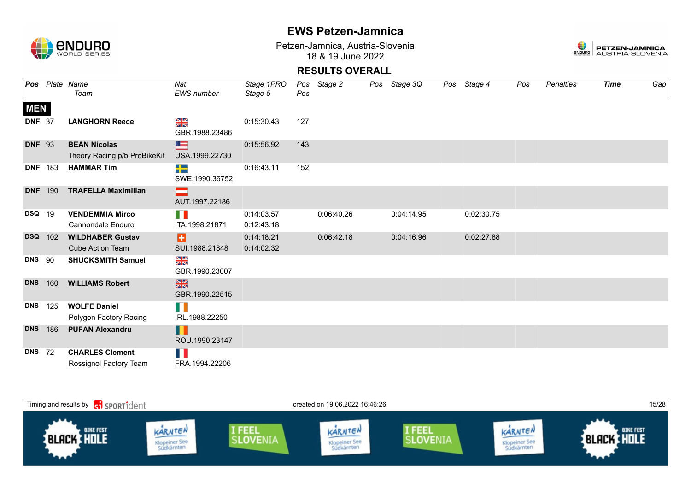

Petzen-Jamnica, Austria-Slovenia 18 & 19 June 2022



|                |     | Pos Plate Name                                      | Nat                             | Stage 1PRO               |     | Pos Stage 2 | Pos Stage 3Q | Pos Stage 4 | Pos | Penalties | <b>Time</b> | Gap |
|----------------|-----|-----------------------------------------------------|---------------------------------|--------------------------|-----|-------------|--------------|-------------|-----|-----------|-------------|-----|
|                |     | Team                                                | <b>EWS</b> number               | Stage 5                  | Pos |             |              |             |     |           |             |     |
| <b>MEN</b>     |     |                                                     |                                 |                          |     |             |              |             |     |           |             |     |
| <b>DNF 37</b>  |     | <b>LANGHORN Reece</b>                               | ≥k<br>GBR.1988.23486            | 0:15:30.43               | 127 |             |              |             |     |           |             |     |
| <b>DNF 93</b>  |     | <b>BEAN Nicolas</b><br>Theory Racing p/b ProBikeKit | ▇<br>USA.1999.22730             | 0:15:56.92               | 143 |             |              |             |     |           |             |     |
| <b>DNF</b> 183 |     | <b>HAMMAR Tim</b>                                   | 55<br>SWE.1990.36752            | 0:16:43.11               | 152 |             |              |             |     |           |             |     |
| <b>DNF</b> 190 |     | <b>TRAFELLA Maximilian</b>                          | AUT.1997.22186                  |                          |     |             |              |             |     |           |             |     |
| <b>DSQ</b> 19  |     | <b>VENDEMMIA Mirco</b><br>Cannondale Enduro         | H.<br>ITA.1998.21871            | 0:14:03.57<br>0:12:43.18 |     | 0:06:40.26  | 0:04:14.95   | 0:02:30.75  |     |           |             |     |
| <b>DSQ</b> 102 |     | <b>WILDHABER Gustav</b><br><b>Cube Action Team</b>  | в<br>SUI.1988.21848             | 0:14:18.21<br>0:14:02.32 |     | 0:06:42.18  | 0:04:16.96   | 0:02:27.88  |     |           |             |     |
| <b>DNS</b>     | 90  | <b>SHUCKSMITH Samuel</b>                            | X<br>X<br>GBR.1990.23007        |                          |     |             |              |             |     |           |             |     |
| <b>DNS</b>     | 160 | <b>WILLIAMS Robert</b>                              | $\frac{N}{N}$<br>GBR.1990.22515 |                          |     |             |              |             |     |           |             |     |
| <b>DNS</b>     | 125 | <b>WOLFE Daniel</b><br>Polygon Factory Racing       | Ш<br>IRL.1988.22250             |                          |     |             |              |             |     |           |             |     |
| <b>DNS</b>     | 186 | <b>PUFAN Alexandru</b>                              | H<br>ROU.1990.23147             |                          |     |             |              |             |     |           |             |     |
| <b>DNS</b> 72  |     | <b>CHARLES Clement</b><br>Rossignol Factory Team    | H.<br>FRA.1994.22206            |                          |     |             |              |             |     |           |             |     |

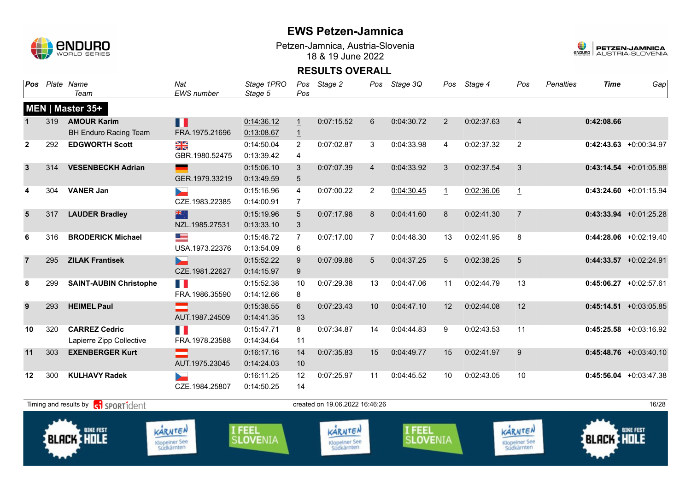

Petzen-Jamnica, Austria-Slovenia 18 & 19 June 2022



| Pos            |                                                                                                                                                                                                                                                                                                                                | Plate Name<br>Team            | Nat<br>EWS number | Stage 1PRO<br>Stage 5 | Pos<br>Pos     | Stage 2    | Pos            | Stage 3Q   | Pos            | Stage 4    | Pos            | <b>Penalties</b> | <b>Time</b>       | Gap                      |
|----------------|--------------------------------------------------------------------------------------------------------------------------------------------------------------------------------------------------------------------------------------------------------------------------------------------------------------------------------|-------------------------------|-------------------|-----------------------|----------------|------------|----------------|------------|----------------|------------|----------------|------------------|-------------------|--------------------------|
|                |                                                                                                                                                                                                                                                                                                                                | MEN   Master 35+              |                   |                       |                |            |                |            |                |            |                |                  |                   |                          |
|                | 319                                                                                                                                                                                                                                                                                                                            | <b>AMOUR Karim</b>            | Ш                 | 0:14:36.12            | $\overline{1}$ | 0:07:15.52 | 6              | 0:04:30.72 | $\overline{2}$ | 0:02:37.63 | $\overline{4}$ |                  | 0:42:08.66        |                          |
|                |                                                                                                                                                                                                                                                                                                                                | <b>BH Enduro Racing Team</b>  | FRA.1975.21696    | 0:13:08.67            | $\overline{1}$ |            |                |            |                |            |                |                  |                   |                          |
| $\overline{2}$ | 292                                                                                                                                                                                                                                                                                                                            | <b>EDGWORTH Scott</b>         | XK                | 0:14:50.04            | $\overline{2}$ | 0:07:02.87 | 3              | 0:04:33.98 | 4              | 0:02:37.32 | $\overline{2}$ |                  |                   | $0:42:43.63$ +0:00:34.97 |
|                |                                                                                                                                                                                                                                                                                                                                |                               | GBR.1980.52475    | 0:13:39.42            | 4              |            |                |            |                |            |                |                  |                   |                          |
| $\mathbf{3}$   | 314                                                                                                                                                                                                                                                                                                                            | <b>VESENBECKH Adrian</b>      |                   | 0:15:06.10            | 3              | 0:07:07.39 | $\overline{4}$ | 0:04:33.92 | 3              | 0:02:37.54 | 3              |                  |                   | $0:43:14.54 +0:01:05.88$ |
|                |                                                                                                                                                                                                                                                                                                                                |                               | GER.1979.33219    | 0:13:49.59            | 5              |            |                |            |                |            |                |                  |                   |                          |
| 4              | 304                                                                                                                                                                                                                                                                                                                            | <b>VANER Jan</b>              |                   | 0:15:16.96            | $\overline{4}$ | 0:07:00.22 | $\overline{2}$ | 0:04:30.45 | $\mathbf{1}$   | 0:02:36.06 | $\overline{1}$ |                  |                   | $0:43:24.60 +0:01:15.94$ |
|                |                                                                                                                                                                                                                                                                                                                                |                               | CZE.1983.22385    | 0:14:00.91            | $\overline{7}$ |            |                |            |                |            |                |                  |                   |                          |
| $5\phantom{1}$ | 317                                                                                                                                                                                                                                                                                                                            | <b>LAUDER Bradley</b>         | 米宁                | 0:15:19.96            | 5              | 0:07:17.98 | 8              | 0:04:41.60 | 8              | 0:02:41.30 | $\overline{7}$ |                  |                   | $0:43:33.94$ +0:01:25.28 |
|                |                                                                                                                                                                                                                                                                                                                                |                               | NZL.1985.27531    | 0:13:33.10            | $\mathbf{3}$   |            |                |            |                |            |                |                  |                   |                          |
| 6              | 316                                                                                                                                                                                                                                                                                                                            | <b>BRODERICK Michael</b>      | <u>est</u>        | 0:15:46.72            | $\overline{7}$ | 0:07:17.00 | $\overline{7}$ | 0:04:48.30 | 13             | 0:02:41.95 | 8              |                  |                   | $0:44:28.06$ +0:02:19.40 |
|                |                                                                                                                                                                                                                                                                                                                                |                               | USA.1973.22376    | 0:13:54.09            | 6              |            |                |            |                |            |                |                  |                   |                          |
| $\overline{7}$ | 295                                                                                                                                                                                                                                                                                                                            | <b>ZILAK Frantisek</b>        | Ъ-                | 0:15:52.22            | 9              | 0:07:09.88 | 5              | 0:04:37.25 | 5              | 0:02:38.25 | 5              |                  |                   | $0:44:33.57 +0:02:24.91$ |
|                |                                                                                                                                                                                                                                                                                                                                |                               | CZE.1981.22627    | 0:14:15.97            | 9              |            |                |            |                |            |                |                  |                   |                          |
| 8              | 299                                                                                                                                                                                                                                                                                                                            | <b>SAINT-AUBIN Christophe</b> | TH.               | 0:15:52.38            | 10             | 0:07:29.38 | 13             | 0:04:47.06 | 11             | 0:02:44.79 | 13             |                  |                   | $0:45:06.27$ +0:02:57.61 |
|                |                                                                                                                                                                                                                                                                                                                                |                               | FRA.1986.35590    | 0:14:12.66            | 8              |            |                |            |                |            |                |                  |                   |                          |
| 9              | 293                                                                                                                                                                                                                                                                                                                            | <b>HEIMEL Paul</b>            |                   | 0:15:38.55            | 6              | 0:07:23.43 | 10             | 0:04:47.10 | 12             | 0:02:44.08 | 12             |                  |                   | $0:45:14.51$ +0:03:05.85 |
|                |                                                                                                                                                                                                                                                                                                                                |                               | AUT.1987.24509    | 0:14:41.35            | 13             |            |                |            |                |            |                |                  |                   |                          |
| 10             | 320                                                                                                                                                                                                                                                                                                                            | <b>CARREZ Cedric</b>          |                   | 0:15:47.71            | 8              | 0:07:34.87 | 14             | 0:04:44.83 | 9              | 0:02:43.53 | 11             |                  |                   | $0:45:25.58$ +0:03:16.92 |
|                |                                                                                                                                                                                                                                                                                                                                | Lapierre Zipp Collective      | FRA.1978.23588    | 0:14:34.64            | 11             |            |                |            |                |            |                |                  |                   |                          |
| 11             | 303                                                                                                                                                                                                                                                                                                                            | <b>EXENBERGER Kurt</b>        | ▅                 | 0:16:17.16            | 14             | 0:07:35.83 | 15             | 0:04:49.77 | 15             | 0:02:41.97 | 9              |                  |                   | $0:45:48.76$ +0:03:40.10 |
|                |                                                                                                                                                                                                                                                                                                                                |                               | AUT.1975.23045    | 0:14:24.03            | 10             |            |                |            |                |            |                |                  |                   |                          |
| 12             | 300                                                                                                                                                                                                                                                                                                                            | <b>KULHAVY Radek</b>          |                   | 0:16:11.25            | 12             | 0:07:25.97 | 11             | 0:04:45.52 | 10             | 0:02:43.05 | 10             |                  |                   | $0:45:56.04$ +0:03:47.38 |
|                |                                                                                                                                                                                                                                                                                                                                |                               | CZE.1984.25807    | 0:14:50.25            | 14             |            |                |            |                |            |                |                  |                   |                          |
|                |                                                                                                                                                                                                                                                                                                                                |                               |                   |                       |                |            |                |            |                |            |                |                  |                   | 16/28                    |
|                | created on 19.06.2022 16.46.26<br>Timing and results by <b>container that the SPORT1</b> dent<br>I FEEL<br>KARNTEN<br>I FEEL<br>KARNTEN<br><b>BIKE FEST</b><br>KARNTEN<br><b>BLACK HOLE</b><br><b>SLOVENIA</b><br><b>SLOVENIA</b><br>Klopeiner See<br>Südkärnten<br>Klopeiner See<br>Südkärnten<br>Klopeiner See<br>Südkärnten |                               |                   |                       |                |            |                |            |                |            |                |                  | <b>BLACK HOLE</b> | <b>BIKE FEST</b>         |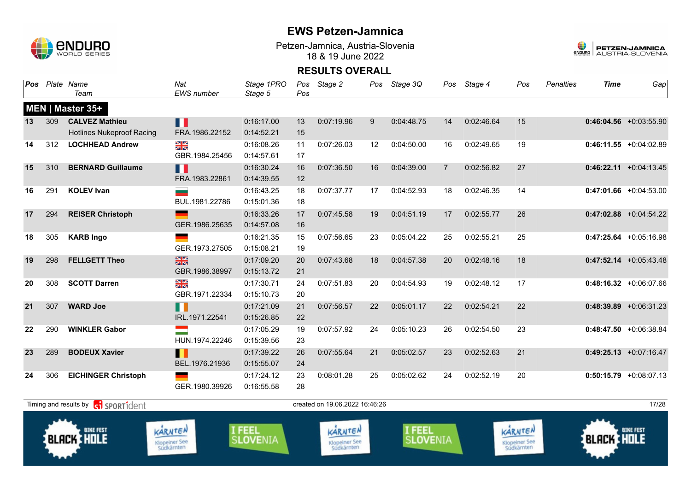

Petzen-Jamnica, Austria-Slovenia 18 & 19 June 2022



| Pos |     | Plate Name<br>Team                                          | Nat<br><b>EWS</b> number               | Stage 1PRO<br>Stage 5     | Pos<br>Pos | Stage 2                                       | Pos | Stage 3Q                         | Pos            | Stage 4    | Pos                                    | <b>Penalties</b> | <b>Time</b>  | Gap                       |
|-----|-----|-------------------------------------------------------------|----------------------------------------|---------------------------|------------|-----------------------------------------------|-----|----------------------------------|----------------|------------|----------------------------------------|------------------|--------------|---------------------------|
|     |     | MEN   Master 35+                                            |                                        |                           |            |                                               |     |                                  |                |            |                                        |                  |              |                           |
| 13  | 309 | <b>CALVEZ Mathieu</b><br><b>Hotlines Nukeproof Racing</b>   | П<br>FRA.1986.22152                    | 0:16:17.00<br>0:14:52.21  | 13<br>15   | 0:07:19.96                                    | 9   | 0:04:48.75                       | 14             | 0:02:46.64 | 15                                     |                  |              | $0:46:04.56$ +0:03:55.90  |
| 14  | 312 | <b>LOCHHEAD Andrew</b>                                      | NK<br>ZK<br>GBR.1984.25456             | 0:16:08.26<br>0:14:57.61  | 11<br>17   | 0:07:26.03                                    | 12  | 0:04:50.00                       | 16             | 0:02:49.65 | 19                                     |                  |              | $0:46:11.55 + 0:04:02.89$ |
| 15  | 310 | <b>BERNARD Guillaume</b>                                    | Ш<br>FRA.1983.22861                    | 0:16:30.24<br>0:14:39.55  | 16<br>12   | 0:07:36.50                                    | 16  | 0:04:39.00                       | $\overline{7}$ | 0:02:56.82 | 27                                     |                  |              | $0:46:22.11$ +0:04:13.45  |
| 16  | 291 | <b>KOLEV Ivan</b>                                           | BUL.1981.22786                         | 0:16:43.25<br>0:15:01.36  | 18<br>18   | 0:07:37.77                                    | 17  | 0:04:52.93                       | 18             | 0:02:46.35 | 14                                     |                  |              | $0:47:01.66$ +0:04:53.00  |
| 17  | 294 | <b>REISER Christoph</b>                                     | GER.1986.25635                         | 0:16:33.26<br>0:14:57.08  | 17<br>16   | 0:07:45.58                                    | 19  | 0:04:51.19                       | 17             | 0:02:55.77 | 26                                     |                  |              | $0:47:02.88$ +0:04:54.22  |
| 18  | 305 | <b>KARB Ingo</b>                                            | GER.1973.27505                         | 0:16:21.35<br>0:15:08.21  | 15<br>19   | 0:07:56.65                                    | 23  | 0:05:04.22                       | 25             | 0:02:55.21 | 25                                     |                  |              | $0:47:25.64$ +0:05:16.98  |
| 19  | 298 | <b>FELLGETT Theo</b>                                        | $\frac{N}{N}$<br>GBR.1986.38997        | 0:17:09.20<br>0:15:13.72  | 20<br>21   | 0:07:43.68                                    | 18  | 0:04:57.38                       | 20             | 0:02:48.16 | 18                                     |                  |              | $0:47:52.14$ +0:05:43.48  |
| 20  | 308 | <b>SCOTT Darren</b>                                         | NK<br>2K<br>GBR.1971.22334             | 0:17:30.71<br>0:15:10.73  | 24<br>20   | 0:07:51.83                                    | 20  | 0:04:54.93                       | 19             | 0:02:48.12 | 17                                     |                  |              | $0:48:16.32 +0:06:07.66$  |
| 21  | 307 | <b>WARD Joe</b>                                             | n<br>IRL.1971.22541                    | 0:17:21.09<br>0:15:26.85  | 21<br>22   | 0:07:56.57                                    | 22  | 0:05:01.17                       | 22             | 0:02:54.21 | 22                                     |                  |              | $0:48:39.89$ +0:06:31.23  |
| 22  | 290 | <b>WINKLER Gabor</b>                                        | $\equiv$<br>HUN.1974.22246             | 0:17:05.29<br>0:15:39.56  | 19<br>23   | 0:07:57.92                                    | 24  | 0:05:10.23                       | 26             | 0:02:54.50 | 23                                     |                  |              | $0:48:47.50 + 0:06:38.84$ |
| 23  | 289 | <b>BODEUX Xavier</b>                                        | П<br>BEL.1976.21936                    | 0:17:39.22<br>0:15:55.07  | 26<br>24   | 0:07:55.64                                    | 21  | 0:05:02.57                       | 23             | 0:02:52.63 | 21                                     |                  |              | $0:49:25.13$ +0:07:16.47  |
| 24  | 306 | <b>EICHINGER Christoph</b>                                  | GER.1980.39926                         | 0:17:24.12<br>0:16:55.58  | 23<br>28   | 0:08:01.28                                    | 25  | 0:05:02.62                       | 24             | 0:02:52.19 | 20                                     |                  |              | $0:50:15.79$ +0:08:07.13  |
|     |     | Timing and results by <b>container that the SPORT1</b> dent |                                        |                           |            | created on 19.06.2022 16:46:26                |     |                                  |                |            |                                        |                  |              | 17/28                     |
|     |     | <b>BIKE FEST</b><br><b>BLACK &amp; HOLE</b>                 | KARNTEN<br>Klopeiner See<br>Südkärnten | I FEEL<br><b>SLOVENIA</b> |            | KARNTEN<br><b>Klopeiner See</b><br>Südkärnten |     | <b>I FEEL</b><br><b>SLOVENIA</b> |                |            | KARNTEN<br>Klopeiner See<br>Südkärnten |                  | BLACK : HOLE | <b>BIKE FEST</b>          |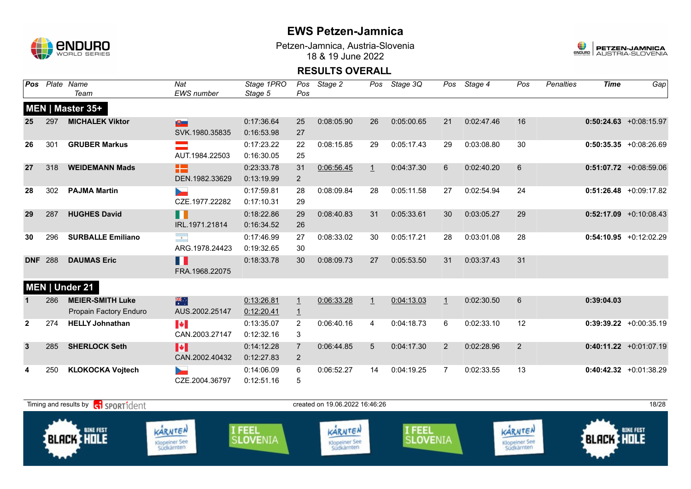

Petzen-Jamnica, Austria-Slovenia 18 & 19 June 2022



| Pos          |     | Plate Name<br>Team                                | Nat<br><b>EWS</b> number                    | Stage 1PRO<br>Stage 5    | Pos<br>Pos                       | Stage 2                        | Pos            | Stage 3Q   | Pos            | Stage 4    | Pos           | <b>Penalties</b> | <b>Time</b> | Gap                       |
|--------------|-----|---------------------------------------------------|---------------------------------------------|--------------------------|----------------------------------|--------------------------------|----------------|------------|----------------|------------|---------------|------------------|-------------|---------------------------|
|              |     | MEN   Master 35+                                  |                                             |                          |                                  |                                |                |            |                |            |               |                  |             |                           |
| 25           | 297 | <b>MICHALEK Viktor</b>                            | $10-$<br>SVK.1980.35835                     | 0:17:36.64<br>0:16:53.98 | 25<br>27                         | 0:08:05.90                     | 26             | 0:05:00.65 | 21             | 0:02:47.46 | 16            |                  |             | $0:50:24.63$ +0:08:15.97  |
| 26           | 301 | <b>GRUBER Markus</b>                              | AUT.1984.22503                              | 0:17:23.22<br>0:16:30.05 | 22<br>25                         | 0:08:15.85                     | 29             | 0:05:17.43 | 29             | 0:03:08.80 | 30            |                  |             | $0:50:35.35 + 0:08:26.69$ |
| 27           | 318 | <b>WEIDEMANN Mads</b>                             | æ<br>DEN.1982.33629                         | 0:23:33.78<br>0:13:19.99 | 31<br>$\overline{2}$             | 0:06:56.45                     | $\perp$        | 0:04:37.30 | 6              | 0:02:40.20 | 6             |                  |             | $0:51:07.72$ +0:08:59.06  |
| 28           | 302 | <b>PAJMA Martin</b>                               | ►<br>CZE.1977.22282                         | 0:17:59.81<br>0:17:10.31 | 28<br>29                         | 0:08:09.84                     | 28             | 0:05:11.58 | 27             | 0:02:54.94 | 24            |                  |             | $0:51:26.48$ +0:09:17.82  |
| 29           | 287 | <b>HUGHES David</b>                               | ╻╻<br>IRL.1971.21814                        | 0:18:22.86<br>0:16:34.52 | 29<br>26                         | 0:08:40.83                     | 31             | 0:05:33.61 | 30             | 0:03:05.27 | 29            |                  |             | $0:52:17.09$ +0:10:08.43  |
| 30           | 296 | <b>SURBALLE Emiliano</b>                          | $\langle \bullet \rangle$<br>ARG.1978.24423 | 0:17:46.99<br>0:19:32.65 | 27<br>30                         | 0:08:33.02                     | 30             | 0:05:17.21 | 28             | 0:03:01.08 | 28            |                  |             | $0:54:10.95 +0:12:02.29$  |
| <b>DNF</b>   | 288 | <b>DAUMAS Eric</b>                                | Ш<br>FRA.1968.22075                         | 0:18:33.78               | 30                               | 0:08:09.73                     | 27             | 0:05:53.50 | 31             | 0:03:37.43 | 31            |                  |             |                           |
|              |     | MEN   Under 21                                    |                                             |                          |                                  |                                |                |            |                |            |               |                  |             |                           |
| 1            | 286 | <b>MEIER-SMITH Luke</b><br>Propain Factory Enduro | 米<br>AUS.2002.25147                         | 0:13:26.81<br>0:12:20.41 | $\overline{1}$<br>$\overline{1}$ | 0:06:33.28                     | $\overline{1}$ | 0:04:13.03 | $\mathbf{1}$   | 0:02:30.50 | 6             |                  | 0:39:04.03  |                           |
| $\mathbf{2}$ | 274 | <b>HELLY Johnathan</b>                            | $\blacktriangleright$<br>CAN.2003.27147     | 0:13:35.07<br>0:12:32.16 | $\overline{2}$<br>3              | 0:06:40.16                     | 4              | 0:04:18.73 | 6              | 0:02:33.10 | 12            |                  |             | $0:39:39.22 +0:00:35.19$  |
| $\mathbf{3}$ | 285 | <b>SHERLOCK Seth</b>                              | M<br>CAN.2002.40432                         | 0:14:12.28<br>0:12:27.83 | $\overline{7}$<br>$\overline{2}$ | 0:06:44.85                     | 5              | 0:04:17.30 | $\overline{2}$ | 0:02:28.96 | 2             |                  |             | $0:40:11.22 +0:01:07.19$  |
| 4            | 250 | <b>KLOKOCKA Vojtech</b>                           | CZE.2004.36797                              | 0:14:06.09<br>0:12:51.16 | 6<br>$\sqrt{5}$                  | 0:06:52.27                     | 14             | 0:04:19.25 | $\overline{7}$ | 0:02:33.55 | 13            |                  |             | $0:40:42.32 +0:01:38.29$  |
|              |     | Timing and results by <b>CO</b> SPORT1dent        |                                             |                          |                                  | created on 19.06.2022 16:46:26 |                |            |                |            |               |                  |             | 18/28                     |
|              |     |                                                   | $\mathbf{A}$ and $\mathbf{A}$               |                          |                                  | $\lambda$                      |                |            |                |            | $\sim$ $\sim$ |                  |             |                           |

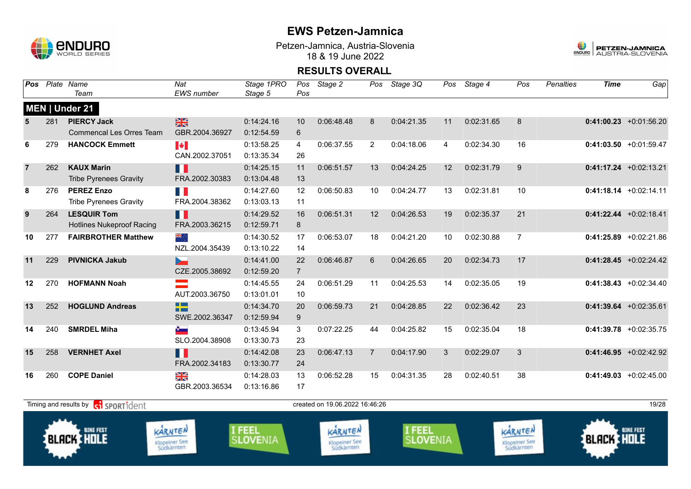

**Banna** 

## **EWS Petzen-Jamnica**

Petzen-Jamnica, Austria-Slovenia 18 & 19 June 2022



| Pos            |     | Plate Name<br>Team                          | Nat<br>EWS number      | Stage 1PRO<br>Stage 5 | Pos<br>Pos     | Stage 2                        | Pos            | Stage 3Q         | Pos | Stage 4    | Pos                  | Penalties | <b>Time</b>        | Gap                       |
|----------------|-----|---------------------------------------------|------------------------|-----------------------|----------------|--------------------------------|----------------|------------------|-----|------------|----------------------|-----------|--------------------|---------------------------|
|                |     | MEN   Under 21                              |                        |                       |                |                                |                |                  |     |            |                      |           |                    |                           |
| 5              | 281 | <b>PIERCY Jack</b>                          | $\frac{N}{N}$          | 0:14:24.16            | 10             | 0:06:48.48                     | 8              | 0:04:21.35       | 11  | 0:02:31.65 | 8                    |           |                    | $0:41:00.23$ +0:01:56.20  |
|                |     | <b>Commencal Les Orres Team</b>             | GBR.2004.36927         | 0:12:54.59            | 6              |                                |                |                  |     |            |                      |           |                    |                           |
| 6              | 279 | <b>HANCOCK Emmett</b>                       | H                      | 0:13:58.25            | $\overline{4}$ | 0:06:37.55                     | $\overline{2}$ | 0:04:18.06       | 4   | 0:02:34.30 | 16                   |           |                    | $0:41:03.50 +0:01:59.47$  |
|                |     |                                             | CAN.2002.37051         | 0:13:35.34            | 26             |                                |                |                  |     |            |                      |           |                    |                           |
| $\overline{7}$ | 262 | <b>KAUX Marin</b>                           | П                      | 0:14:25.15            | 11             | 0:06:51.57                     | 13             | 0:04:24.25       | 12  | 0:02:31.79 | 9                    |           |                    | $0:41:17.24 +0:02:13.21$  |
|                |     | <b>Tribe Pyrenees Gravity</b>               | FRA.2002.30383         | 0:13:04.48            | 13             |                                |                |                  |     |            |                      |           |                    |                           |
| 8              | 276 | <b>PEREZ Enzo</b>                           | H I                    | 0:14:27.60            | 12             | 0:06:50.83                     | 10             | 0:04:24.77       | 13  | 0:02:31.81 | 10                   |           |                    | $0:41:18.14 + 0:02:14.11$ |
|                |     | <b>Tribe Pyrenees Gravity</b>               | FRA.2004.38362         | 0:13:03.13            | 11             |                                |                |                  |     |            |                      |           |                    |                           |
| 9              | 264 | <b>LESQUIR Tom</b>                          | n I                    | 0:14:29.52            | 16             | 0:06:51.31                     | 12             | 0:04:26.53       | 19  | 0:02:35.37 | 21                   |           |                    | $0:41:22.44 + 0:02:18.41$ |
|                |     | <b>Hotlines Nukeproof Racing</b>            | FRA.2003.36215         | 0:12:59.71            | $8\phantom{1}$ |                                |                |                  |     |            |                      |           |                    |                           |
| 10             | 277 | <b>FAIRBROTHER Matthew</b>                  | ्र≋                    | 0:14:30.52            | 17             | 0:06:53.07                     | 18             | 0:04:21.20       | 10  | 0:02:30.88 | $\overline{7}$       |           |                    | $0:41:25.89$ +0:02:21.86  |
|                |     |                                             | NZL.2004.35439         | 0:13:10.22            | 14             |                                |                |                  |     |            |                      |           |                    |                           |
| 11             | 229 | <b>PIVNICKA Jakub</b>                       | $\blacktriangleright$  | 0:14:41.00            | 22             | 0:06:46.87                     | 6              | 0:04:26.65       | 20  | 0:02:34.73 | 17                   |           |                    | $0:41:28.45 +0:02:24.42$  |
|                |     |                                             | CZE.2005.38692         | 0:12:59.20            | $\overline{7}$ |                                |                |                  |     |            |                      |           |                    |                           |
| 12             | 270 | <b>HOFMANN Noah</b>                         |                        | 0:14:45.55            | 24             | 0:06:51.29                     | 11             | 0:04:25.53       | 14  | 0:02:35.05 | 19                   |           |                    | $0:41:38.43 + 0:02:34.40$ |
|                |     |                                             | AUT.2003.36750         | 0:13:01.01            | 10             |                                |                |                  |     |            |                      |           |                    |                           |
| 13             | 252 | <b>HOGLUND Andreas</b>                      | $\Box$<br>n a          | 0:14:34.70            | 20             | 0:06:59.73                     | 21             | 0:04:28.85       | 22  | 0:02:36.42 | 23                   |           |                    | $0:41:39.64$ +0:02:35.61  |
|                |     |                                             | SWE.2002.36347         | 0:12:59.94            | 9              |                                |                |                  |     |            |                      |           |                    |                           |
| 14             | 240 | <b>SMRDEL Miha</b>                          | $\bullet$              | 0:13:45.94            | 3              | 0:07:22.25                     | 44             | 0:04:25.82       | 15  | 0:02:35.04 | 18                   |           |                    | $0:41:39.78$ +0:02:35.75  |
|                |     |                                             | SLO.2004.38908         | 0:13:30.73            | 23             |                                |                |                  |     |            |                      |           |                    |                           |
| 15             | 258 | <b>VERNHET Axel</b>                         | П                      | 0:14:42.08            | 23             | 0:06:47.13                     | $\overline{7}$ | 0:04:17.90       | 3   | 0:02:29.07 | 3                    |           |                    | $0:41:46.95 +0:02:42.92$  |
|                |     |                                             | FRA.2002.34183         | 0:13:30.77            | 24             |                                |                |                  |     |            |                      |           |                    |                           |
| 16             | 260 | <b>COPE Daniel</b>                          | XK                     | 0:14:28.03            | 13             | 0:06:52.28                     | 15             | 0:04:31.35       | 28  | 0:02:40.51 | 38                   |           |                    | $0:41:49.03$ +0:02:45.00  |
|                |     |                                             | GBR.2003.36534         | 0:13:16.86            | 17             |                                |                |                  |     |            |                      |           |                    |                           |
|                |     | Timing and results by <b>GI SPORT1</b> dent |                        |                       |                | created on 19.06.2022 16:46:26 |                |                  |     |            |                      |           |                    | 19/28                     |
|                |     |                                             |                        |                       |                |                                |                |                  |     |            |                      |           |                    |                           |
|                |     | <b>BIKE FEST</b>                            | <b>FEEL</b><br>KARNTEN |                       | KARNTEN        |                                |                | <b>BIKE FEST</b> |     |            |                      |           |                    |                           |
|                |     | <b>BLACK CHOLE</b>                          | <b>Klopeiner See</b>   | <b>SLOVENIA</b>       |                | <b>Klopeiner See</b>           |                | <b>SLOVENIA</b>  |     |            | <b>Klopeiner See</b> |           | <b>BLACK THOLE</b> |                           |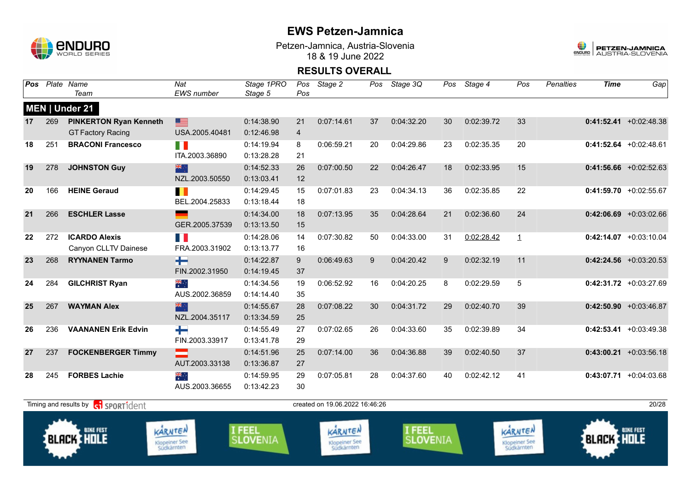

Petzen-Jamnica, Austria-Slovenia 18 & 19 June 2022



| Pos |     | Plate Name<br>Team                                | Nat<br><b>EWS</b> number                      | Stage 1PRO<br>Stage 5          | Pos<br>Pos     | Stage 2                                       | Pos | Stage 3Q                       | Pos | Stage 4    | Pos                                           | <b>Penalties</b> | <b>Time</b>       | Gap                       |
|-----|-----|---------------------------------------------------|-----------------------------------------------|--------------------------------|----------------|-----------------------------------------------|-----|--------------------------------|-----|------------|-----------------------------------------------|------------------|-------------------|---------------------------|
|     |     | MEN   Under 21                                    |                                               |                                |                |                                               |     |                                |     |            |                                               |                  |                   |                           |
| 17  | 269 | <b>PINKERTON Ryan Kenneth</b>                     | E                                             | 0:14:38.90                     | 21             | 0:07:14.61                                    | 37  | 0:04:32.20                     | 30  | 0:02:39.72 | 33                                            |                  |                   | $0:41:52.41 + 0:02:48.38$ |
|     |     | <b>GT Factory Racing</b>                          | USA.2005.40481                                | 0:12:46.98                     | $\overline{4}$ |                                               |     |                                |     |            |                                               |                  |                   |                           |
| 18  | 251 | <b>BRACONI Francesco</b>                          | FI N                                          | 0:14:19.94                     | 8              | 0:06:59.21                                    | 20  | 0:04:29.86                     | 23  | 0:02:35.35 | 20                                            |                  |                   | $0:41:52.64$ +0:02:48.61  |
|     |     |                                                   | ITA.2003.36890                                | 0:13:28.28                     | 21             |                                               |     |                                |     |            |                                               |                  |                   |                           |
| 19  | 278 | <b>JOHNSTON Guy</b>                               | 米                                             | 0:14:52.33                     | 26             | 0:07:00.50                                    | 22  | 0:04:26.47                     | 18  | 0:02:33.95 | 15                                            |                  |                   | $0:41:56.66 + 0:02:52.63$ |
|     |     |                                                   | NZL.2003.50550                                | 0:13:03.41                     | 12             |                                               |     |                                |     |            |                                               |                  |                   |                           |
| 20  | 166 | <b>HEINE Geraud</b>                               | H                                             | 0:14:29.45                     | 15             | 0:07:01.83                                    | 23  | 0:04:34.13                     | 36  | 0:02:35.85 | 22                                            |                  |                   | $0:41:59.70 +0:02:55.67$  |
|     |     |                                                   | BEL.2004.25833                                | 0:13:18.44                     | 18             |                                               |     |                                |     |            |                                               |                  |                   |                           |
| 21  | 266 | <b>ESCHLER Lasse</b>                              |                                               | 0:14:34.00                     | 18             | 0:07:13.95                                    | 35  | 0:04:28.64                     | 21  | 0:02:36.60 | 24                                            |                  |                   | $0:42:06.69$ +0:03:02.66  |
|     |     |                                                   | GER.2005.37539                                | 0:13:13.50                     | 15             |                                               |     |                                |     |            |                                               |                  |                   |                           |
| 22  | 272 | <b>ICARDO Alexis</b>                              | n a                                           | 0:14:28.06                     | 14             | 0:07:30.82                                    | 50  | 0:04:33.00                     | 31  | 0:02:28.42 | $\mathbf{1}$                                  |                  |                   | $0:42:14.07$ +0:03:10.04  |
|     |     | Canyon CLLTV Dainese                              | FRA.2003.31902                                | 0:13:13.77                     | 16             |                                               |     |                                |     |            |                                               |                  |                   |                           |
| 23  | 268 | <b>RYYNANEN Tarmo</b>                             | ╈┥                                            | 0:14:22.87                     | 9              | 0:06:49.63                                    | 9   | 0:04:20.42                     | 9   | 0:02:32.19 | 11                                            |                  |                   | $0:42:24.56$ +0:03:20.53  |
|     |     |                                                   | FIN.2002.31950                                | 0:14:19.45                     | 37             |                                               |     |                                |     |            |                                               |                  |                   |                           |
| 24  | 284 | <b>GILCHRIST Ryan</b>                             | $\frac{2}{\pi}$                               | 0:14:34.56                     | 19             | 0:06:52.92                                    | 16  | 0:04:20.25                     | 8   | 0:02:29.59 | 5                                             |                  |                   | $0:42:31.72$ +0:03:27.69  |
|     |     |                                                   | AUS.2002.36859                                | 0:14:14.40                     | 35             |                                               |     |                                |     |            |                                               |                  |                   |                           |
| 25  | 267 | <b>WAYMAN Alex</b>                                | 米<br>NZL.2004.35117                           | 0:14:55.67<br>0:13:34.59       | 28<br>25       | 0:07:08.22                                    | 30  | 0:04:31.72                     | 29  | 0:02:40.70 | 39                                            |                  |                   | $0:42:50.90 + 0:03:46.87$ |
|     | 236 | <b>VAANANEN Erik Edvin</b>                        |                                               | 0:14:55.49                     | 27             | 0:07:02.65                                    | 26  | 0:04:33.60                     | 35  | 0:02:39.89 | 34                                            |                  |                   | $0:42:53.41 + 0:03:49.38$ |
| 26  |     |                                                   | ┿<br>FIN.2003.33917                           | 0:13:41.78                     | 29             |                                               |     |                                |     |            |                                               |                  |                   |                           |
| 27  | 237 | <b>FOCKENBERGER Timmy</b>                         | $\mathcal{L}$                                 | 0:14:51.96                     | 25             | 0:07:14.00                                    | 36  | 0:04:36.88                     | 39  | 0:02:40.50 | 37                                            |                  |                   | $0:43:00.21 + 0:03:56.18$ |
|     |     |                                                   | AUT.2003.33138                                | 0:13:36.87                     | 27             |                                               |     |                                |     |            |                                               |                  |                   |                           |
| 28  | 245 | <b>FORBES Lachie</b>                              | ्रें<br>सं                                    | 0:14:59.95                     | 29             | 0:07:05.81                                    | 28  | 0:04:37.60                     | 40  | 0:02:42.12 | 41                                            |                  |                   | $0:43:07.71 + 0:04:03.68$ |
|     |     |                                                   | AUS.2003.36655                                | 0:13:42.23                     | 30             |                                               |     |                                |     |            |                                               |                  |                   |                           |
|     |     |                                                   |                                               |                                |                |                                               |     |                                |     |            |                                               |                  |                   |                           |
|     |     | Timing and results by <b>contract</b> sport ident |                                               |                                |                | created on 19.06.2022 16:46:26                |     |                                |     |            |                                               |                  |                   | 20/28                     |
|     |     | <b>BIKE FEST</b><br><b>BLACK HOLE</b>             | KARNTEN<br><b>Klopeiner See</b><br>Südkärnten | <b>FEEL</b><br><b>SLOVENIA</b> |                | KARNTEN<br><b>Klopeiner See</b><br>Südkärnten |     | <b>FEEL</b><br><b>SLOVENIA</b> |     |            | KARNTEN<br><b>Klopeiner See</b><br>Südkärnten |                  | <b>BLACK HOLE</b> | <b>BIKE FEST</b>          |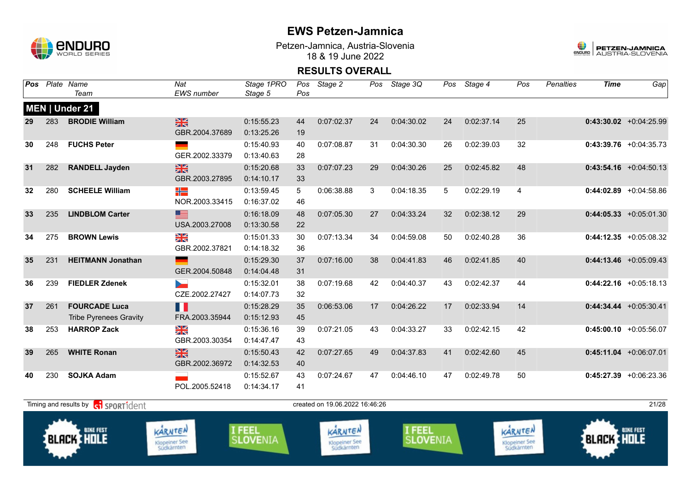

Petzen-Jamnica, Austria-Slovenia 18 & 19 June 2022



| Pos |     | Plate Name<br>Team                                    | Nat<br>EWS number                             | Stage 1PRO<br>Stage 5            | Pos<br>Pos | Stage 2                                       | Pos | Stage 3Q                         | Pos | Stage 4    | Pos                                           | <b>Penalties</b> | <b>Time</b>       | Gap                       |
|-----|-----|-------------------------------------------------------|-----------------------------------------------|----------------------------------|------------|-----------------------------------------------|-----|----------------------------------|-----|------------|-----------------------------------------------|------------------|-------------------|---------------------------|
|     |     | MEN   Under 21                                        |                                               |                                  |            |                                               |     |                                  |     |            |                                               |                  |                   |                           |
| 29  | 283 | <b>BRODIE William</b>                                 | $\frac{2}{3}$<br>GBR.2004.37689               | 0:15:55.23<br>0:13:25.26         | 44<br>19   | 0:07:02.37                                    | 24  | 0:04:30.02                       | 24  | 0:02:37.14 | 25                                            |                  |                   | $0:43:30.02$ +0:04:25.99  |
| 30  | 248 | <b>FUCHS Peter</b>                                    | GER.2002.33379                                | 0:15:40.93<br>0:13:40.63         | 40<br>28   | 0:07:08.87                                    | 31  | 0:04:30.30                       | 26  | 0:02:39.03 | 32                                            |                  |                   | $0:43:39.76$ +0:04:35.73  |
| 31  | 282 | <b>RANDELL Jayden</b>                                 | 米<br>GBR.2003.27895                           | 0:15:20.68<br>0:14:10.17         | 33<br>33   | 0:07:07.23                                    | 29  | 0:04:30.26                       | 25  | 0:02:45.82 | 48                                            |                  |                   | $0:43:54.16$ +0:04:50.13  |
| 32  | 280 | <b>SCHEELE William</b>                                | ╬<br>NOR.2003.33415                           | 0:13:59.45<br>0:16:37.02         | 5<br>46    | 0:06:38.88                                    | 3   | 0:04:18.35                       | 5   | 0:02:29.19 | $\overline{4}$                                |                  |                   | $0:44:02.89$ +0:04:58.86  |
| 33  | 235 | <b>LINDBLOM Carter</b>                                | $\equiv$<br>USA.2003.27008                    | 0:16:18.09<br>0:13:30.58         | 48<br>22   | 0:07:05.30                                    | 27  | 0:04:33.24                       | 32  | 0:02:38.12 | 29                                            |                  |                   | $0:44:05.33 + 0:05:01.30$ |
| 34  | 275 | <b>BROWN Lewis</b>                                    | N<br>ak<br>GBR.2002.37821                     | 0:15:01.33<br>0:14:18.32         | 30<br>36   | 0:07:13.34                                    | 34  | 0:04:59.08                       | 50  | 0:02:40.28 | 36                                            |                  |                   | $0:44:12.35$ +0:05:08.32  |
| 35  | 231 | <b>HEITMANN Jonathan</b>                              | GER.2004.50848                                | 0:15:29.30<br>0:14:04.48         | 37<br>31   | 0:07:16.00                                    | 38  | 0:04:41.83                       | 46  | 0:02:41.85 | 40                                            |                  |                   | $0:44:13.46 + 0:05:09.43$ |
| 36  | 239 | <b>FIEDLER Zdenek</b>                                 | $\sim$<br>CZE.2002.27427                      | 0:15:32.01<br>0:14:07.73         | 38<br>32   | 0:07:19.68                                    | 42  | 0:04:40.37                       | 43  | 0:02:42.37 | 44                                            |                  |                   | $0:44:22.16$ +0:05:18.13  |
| 37  | 261 | <b>FOURCADE Luca</b><br><b>Tribe Pyrenees Gravity</b> | Ш<br>FRA.2003.35944                           | 0:15:28.29<br>0:15:12.93         | 35<br>45   | 0:06:53.06                                    | 17  | 0:04:26.22                       | 17  | 0:02:33.94 | 14                                            |                  |                   | $0:44:34.44 + 0:05:30.41$ |
| 38  | 253 | <b>HARROP Zack</b>                                    | ¥≼<br>GBR.2003.30354                          | 0:15:36.16<br>0:14:47.47         | 39<br>43   | 0:07:21.05                                    | 43  | 0:04:33.27                       | 33  | 0:02:42.15 | 42                                            |                  |                   | $0:45:00.10 + 0:05:56.07$ |
| 39  | 265 | <b>WHITE Ronan</b>                                    | $\frac{1}{2}$<br>GBR.2002.36972               | 0:15:50.43<br>0:14:32.53         | 42<br>40   | 0:07:27.65                                    | 49  | 0:04:37.83                       | 41  | 0:02:42.60 | 45                                            |                  |                   | $0:45:11.04$ +0:06:07.01  |
| 40  | 230 | <b>SOJKA Adam</b>                                     | POL.2005.52418                                | 0:15:52.67<br>0:14:34.17         | 43<br>41   | 0:07:24.67                                    | 47  | 0:04:46.10                       | 47  | 0:02:49.78 | 50                                            |                  |                   | $0:45:27.39$ +0:06:23.36  |
|     |     | Timing and results by <b>cil sportident</b>           |                                               |                                  |            | created on 19.06.2022 16.46.26                |     |                                  |     |            |                                               |                  |                   | 21/28                     |
|     |     | <b>BIKE FEST</b><br><b>BLACK HOLE</b>                 | KARNTEN<br><b>Klopeiner See</b><br>Südkärnten | <b>I FEEL</b><br><b>SLOVENIA</b> |            | KARNTEN<br><b>Klopeiner See</b><br>Südkärnten |     | <b>I FEEL</b><br><b>SLOVENIA</b> |     |            | KARNTEN<br><b>Klopeiner See</b><br>Südkärnten |                  | <b>BLACK HOLE</b> | <b>BIKE FEST</b>          |
|     |     |                                                       |                                               |                                  |            |                                               |     |                                  |     |            |                                               |                  |                   |                           |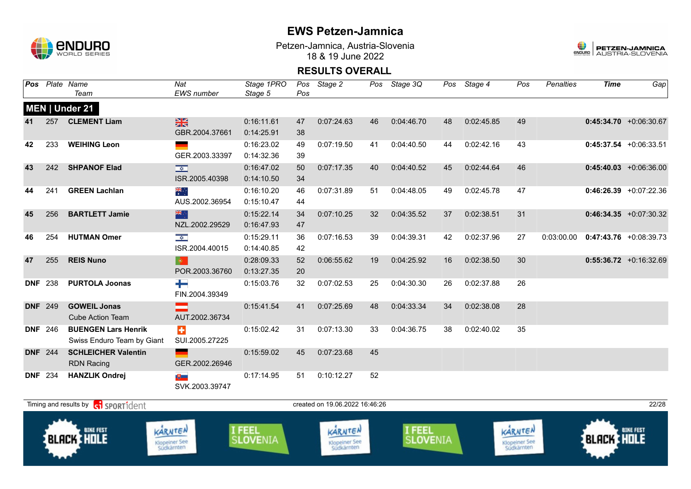

**BLACK HOLE** 

KARNTEN

Klopeiner See<br>Südkärnten

I FEEL<br>SLOVENIA

## **EWS Petzen-Jamnica**

Petzen-Jamnica, Austria-Slovenia 18 & 19 June 2022



**BLACK HOLE** 

KARNTEN

Klopeiner See<br>Südkärnten

#### **RESULTS OVERALL**

| Pos            |     | Plate Name                                           | Nat                          | Stage 1PRO | Pos | Stage 2                        |    | Pos Stage 3Q | Pos | Stage 4    | Pos | Penalties  | <b>Time</b> | Gap                      |
|----------------|-----|------------------------------------------------------|------------------------------|------------|-----|--------------------------------|----|--------------|-----|------------|-----|------------|-------------|--------------------------|
|                |     | Team                                                 | <b>EWS</b> number            | Stage 5    | Pos |                                |    |              |     |            |     |            |             |                          |
|                |     | MEN   Under 21                                       |                              |            |     |                                |    |              |     |            |     |            |             |                          |
| 41             | 257 | <b>CLEMENT Liam</b>                                  | $\frac{N}{N}$                | 0:16:11.61 | 47  | 0:07:24.63                     | 46 | 0:04:46.70   | 48  | 0:02:45.85 | 49  |            |             | $0:45:34.70 +0:06:30.67$ |
|                |     |                                                      | GBR.2004.37661               | 0:14:25.91 | 38  |                                |    |              |     |            |     |            |             |                          |
| 42             | 233 | <b>WEIHING Leon</b>                                  |                              | 0:16:23.02 | 49  | 0:07:19.50                     | 41 | 0:04:40.50   | 44  | 0:02:42.16 | 43  |            |             | $0:45:37.54 +0:06:33.51$ |
|                |     |                                                      | GER.2003.33397               | 0:14:32.36 | 39  |                                |    |              |     |            |     |            |             |                          |
| 43             | 242 | <b>SHPANOF Elad</b>                                  | $\overline{\mathbf{v}}$      | 0:16:47.02 | 50  | 0:07:17.35                     | 40 | 0:04:40.52   | 45  | 0:02:44.64 | 46  |            |             | $0:45:40.03$ +0:06:36.00 |
|                |     |                                                      | ISR.2005.40398               | 0:14:10.50 | 34  |                                |    |              |     |            |     |            |             |                          |
| 44             | 241 | <b>GREEN Lachlan</b>                                 | ▓                            | 0:16:10.20 | 46  | 0:07:31.89                     | 51 | 0:04:48.05   | 49  | 0:02:45.78 | 47  |            |             | $0:46:26.39$ +0:07:22.36 |
|                |     |                                                      | AUS.2002.36954               | 0:15:10.47 | 44  |                                |    |              |     |            |     |            |             |                          |
| 45             | 256 | <b>BARTLETT Jamie</b>                                | 米宁                           | 0:15:22.14 | 34  | 0:07:10.25                     | 32 | 0:04:35.52   | 37  | 0:02:38.51 | 31  |            |             | $0:46:34.35 +0:07:30.32$ |
|                |     |                                                      | NZL.2002.29529               | 0:16:47.93 | 47  |                                |    |              |     |            |     |            |             |                          |
| 46             | 254 | <b>HUTMAN Omer</b>                                   | $\frac{1}{\sqrt{2}}$         | 0:15:29.11 | 36  | 0:07:16.53                     | 39 | 0:04:39.31   | 42  | 0:02:37.96 | 27  | 0:03:00.00 |             | $0:47:43.76$ +0:08:39.73 |
|                |     |                                                      | ISR.2004.40015               | 0:14:40.85 | 42  |                                |    |              |     |            |     |            |             |                          |
| 47             | 255 | <b>REIS Nuno</b>                                     | $\langle \mathbf{0} \rangle$ | 0:28:09.33 | 52  | 0:06:55.62                     | 19 | 0:04:25.92   | 16  | 0:02:38.50 | 30  |            |             | $0:55:36.72 +0:16:32.69$ |
|                |     |                                                      | POR.2003.36760               | 0:13:27.35 | 20  |                                |    |              |     |            |     |            |             |                          |
| <b>DNF</b>     | 238 | <b>PURTOLA Joonas</b>                                | ┶                            | 0:15:03.76 | 32  | 0:07:02.53                     | 25 | 0:04:30.30   | 26  | 0:02:37.88 | 26  |            |             |                          |
|                |     |                                                      | FIN.2004.39349               |            |     |                                |    |              |     |            |     |            |             |                          |
| <b>DNF 249</b> |     | <b>GOWEIL Jonas</b>                                  |                              | 0:15:41.54 | 41  | 0:07:25.69                     | 48 | 0:04:33.34   | 34  | 0:02:38.08 | 28  |            |             |                          |
|                |     | <b>Cube Action Team</b>                              | AUT.2002.36734               |            |     |                                |    |              |     |            |     |            |             |                          |
| <b>DNF</b> 246 |     | <b>BUENGEN Lars Henrik</b>                           | $\color{red}+$               | 0:15:02.42 | 31  | 0:07:13.30                     | 33 | 0:04:36.75   | 38  | 0:02:40.02 | 35  |            |             |                          |
|                |     | Swiss Enduro Team by Giant                           | SUI.2005.27225               |            |     |                                |    |              |     |            |     |            |             |                          |
| <b>DNF</b> 244 |     | <b>SCHLEICHER Valentin</b>                           |                              | 0:15:59.02 | 45  | 0:07:23.68                     | 45 |              |     |            |     |            |             |                          |
|                |     | <b>RDN Racing</b>                                    | GER.2002.26946               |            |     |                                |    |              |     |            |     |            |             |                          |
| <b>DNF 234</b> |     | <b>HANZLIK Ondrej</b>                                | 地上                           | 0:17:14.95 | 51  | 0:10:12.27                     | 52 |              |     |            |     |            |             |                          |
|                |     |                                                      | SVK.2003.39747               |            |     |                                |    |              |     |            |     |            |             |                          |
|                |     | Timing and results by <b>Conditional SPORT1</b> dent |                              |            |     | created on 19.06.2022 16:46:26 |    |              |     |            |     |            |             | 22/28                    |
|                |     |                                                      |                              |            |     |                                |    |              |     |            |     |            |             |                          |

KARNTEN

Klopeiner See<br>Südkärnten

I FEEL<br>SLOVENIA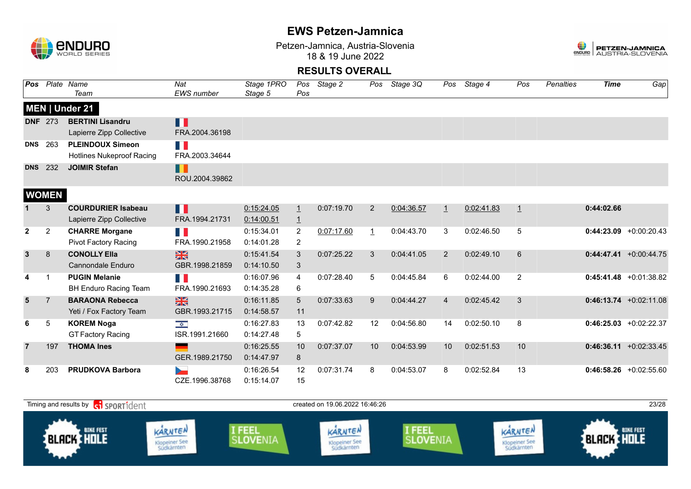

Petzen-Jamnica, Austria-Slovenia 18 & 19 June 2022



| Pos            |                | Plate Name                       | Nat                   | Stage 1PRO |                 | Pos Stage 2 | Pos            | Stage 3Q   | Pos            | Stage 4    | Pos            | Penalties | <b>Time</b> | Gap                       |
|----------------|----------------|----------------------------------|-----------------------|------------|-----------------|-------------|----------------|------------|----------------|------------|----------------|-----------|-------------|---------------------------|
|                |                | Team                             | <b>EWS</b> number     | Stage 5    | Pos             |             |                |            |                |            |                |           |             |                           |
|                |                | MEN   Under 21                   |                       |            |                 |             |                |            |                |            |                |           |             |                           |
| <b>DNF 273</b> |                | <b>BERTINI Lisandru</b>          | П                     |            |                 |             |                |            |                |            |                |           |             |                           |
|                |                | Lapierre Zipp Collective         | FRA.2004.36198        |            |                 |             |                |            |                |            |                |           |             |                           |
| <b>DNS</b>     | 263            | <b>PLEINDOUX Simeon</b>          | E.                    |            |                 |             |                |            |                |            |                |           |             |                           |
|                |                | <b>Hotlines Nukeproof Racing</b> | FRA.2003.34644        |            |                 |             |                |            |                |            |                |           |             |                           |
| <b>DNS</b>     | 232            | <b>JOIMIR Stefan</b>             | П<br>ROU.2004.39862   |            |                 |             |                |            |                |            |                |           |             |                           |
|                | <b>WOMEN</b>   |                                  |                       |            |                 |             |                |            |                |            |                |           |             |                           |
|                | 3              | <b>COURDURIER Isabeau</b>        | П                     | 0:15:24.05 | $\overline{1}$  | 0:07:19.70  | 2              | 0:04:36.57 | $\perp$        | 0:02:41.83 | $\overline{1}$ |           | 0:44:02.66  |                           |
|                |                | Lapierre Zipp Collective         | FRA.1994.21731        | 0:14:00.51 | $\overline{1}$  |             |                |            |                |            |                |           |             |                           |
| $\mathbf{2}$   | $\overline{2}$ | <b>CHARRE Morgane</b>            | T.                    | 0:15:34.01 | $\overline{2}$  | 0:07:17.60  | $\overline{1}$ | 0:04:43.70 | 3              | 0:02:46.50 | 5              |           |             | $0:44:23.09 +0:00:20.43$  |
|                |                | Pivot Factory Racing             | FRA.1990.21958        | 0:14:01.28 | 2               |             |                |            |                |            |                |           |             |                           |
| $\mathbf{3}$   | 8              | <b>CONOLLY Ella</b>              | $\frac{N}{N}$         | 0:15:41.54 | 3               | 0:07:25.22  | 3              | 0:04:41.05 | 2              | 0:02:49.10 | 6              |           |             | $0:44:47.41 + 0:00:44.75$ |
|                |                | <b>Cannondale Enduro</b>         | GBR.1998.21859        | 0:14:10.50 | 3               |             |                |            |                |            |                |           |             |                           |
|                | -1             | <b>PUGIN Melanie</b>             | n ji                  | 0:16:07.96 | 4               | 0:07:28.40  | 5              | 0:04:45.84 | 6              | 0:02:44.00 | $\overline{2}$ |           |             | $0:45:41.48$ +0:01:38.82  |
|                |                | <b>BH Enduro Racing Team</b>     | FRA.1990.21693        | 0:14:35.28 | 6               |             |                |            |                |            |                |           |             |                           |
| $5\phantom{1}$ | $\overline{7}$ | <b>BARAONA Rebecca</b>           | $\frac{N}{N}$         | 0:16:11.85 | $5\overline{)}$ | 0:07:33.63  | 9              | 0:04:44.27 | $\overline{4}$ | 0:02:45.42 | 3              |           |             | $0:46:13.74 +0:02:11.08$  |
|                |                | Yeti / Fox Factory Team          | GBR.1993.21715        | 0:14:58.57 | 11              |             |                |            |                |            |                |           |             |                           |
| 6              | 5              | <b>KOREM Noga</b>                | $\frac{1}{\sqrt{2}}$  | 0:16:27.83 | 13              | 0:07:42.82  | 12             | 0:04:56.80 | 14             | 0:02:50.10 | 8              |           |             | $0:46:25.03$ +0:02:22.37  |
|                |                | <b>GT Factory Racing</b>         | ISR.1991.21660        | 0:14:27.48 | 5               |             |                |            |                |            |                |           |             |                           |
| 7              | 197            | <b>THOMA Ines</b>                |                       | 0:16:25.55 | 10              | 0:07:37.07  | 10             | 0:04:53.99 | 10             | 0:02:51.53 | 10             |           |             | $0:46:36.11 + 0:02:33.45$ |
|                |                |                                  | GER.1989.21750        | 0:14:47.97 | 8               |             |                |            |                |            |                |           |             |                           |
| 8              | 203            | <b>PRUDKOVA Barbora</b>          | $\blacktriangleright$ | 0:16:26.54 | 12              | 0:07:31.74  | 8              | 0:04:53.07 | 8              | 0:02:52.84 | 13             |           |             | $0:46:58.26 + 0:02:55.60$ |
|                |                |                                  | CZE.1996.38768        | 0:15:14.07 | 15              |             |                |            |                |            |                |           |             |                           |

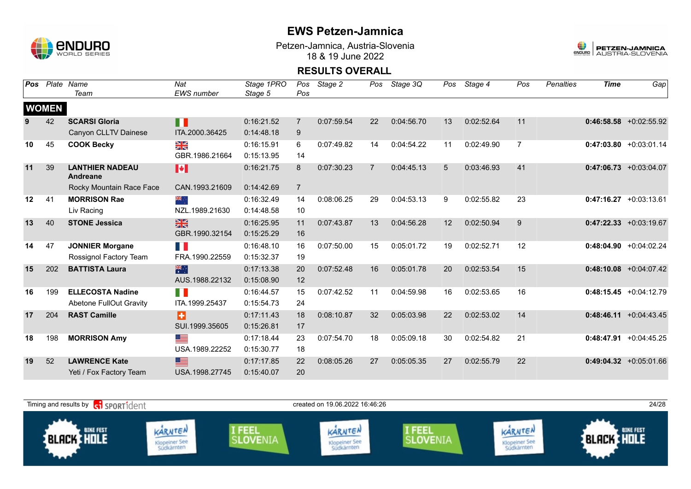

Petzen-Jamnica, Austria-Slovenia 18 & 19 June 2022



| Pos |              | Plate Name                         | Nat            | Stage 1PRO | Pos            | Stage 2    | Pos            | Stage 3Q   | Pos | Stage 4    | Pos            | <b>Penalties</b> | <b>Time</b> | Gap                       |
|-----|--------------|------------------------------------|----------------|------------|----------------|------------|----------------|------------|-----|------------|----------------|------------------|-------------|---------------------------|
|     |              | Team                               | EWS number     | Stage 5    | Pos            |            |                |            |     |            |                |                  |             |                           |
|     | <b>WOMEN</b> |                                    |                |            |                |            |                |            |     |            |                |                  |             |                           |
|     | 42           | <b>SCARSI Gloria</b>               | H              | 0:16:21.52 | $\overline{7}$ | 0:07:59.54 | 22             | 0:04:56.70 | 13  | 0:02:52.64 | 11             |                  |             | $0:46:58.58$ +0:02:55.92  |
|     |              | Canyon CLLTV Dainese               | ITA.2000.36425 | 0:14:48.18 | 9              |            |                |            |     |            |                |                  |             |                           |
| 10  | 45           | <b>COOK Becky</b>                  | ≫<br>X         | 0:16:15.91 | 6              | 0:07:49.82 | 14             | 0:04:54.22 | 11  | 0:02:49.90 | $\overline{7}$ |                  |             | $0:47:03.80 + 0:03:01.14$ |
|     |              |                                    | GBR.1986.21664 | 0:15:13.95 | 14             |            |                |            |     |            |                |                  |             |                           |
| 11  | 39           | <b>LANTHIER NADEAU</b><br>Andreane | M              | 0:16:21.75 | 8              | 0:07:30.23 | $\overline{7}$ | 0:04:45.13 | 5   | 0:03:46.93 | 41             |                  |             | $0:47:06.73$ +0:03:04.07  |
|     |              | Rocky Mountain Race Face           | CAN.1993.21609 | 0:14:42.69 | $\overline{7}$ |            |                |            |     |            |                |                  |             |                           |
| 12  | 41           | <b>MORRISON Rae</b>                | ं और           | 0:16:32.49 | 14             | 0:08:06.25 | 29             | 0:04:53.13 | 9   | 0:02:55.82 | 23             |                  |             | $0:47:16.27 + 0:03:13.61$ |
|     |              | Liv Racing                         | NZL.1989.21630 | 0:14:48.58 | 10             |            |                |            |     |            |                |                  |             |                           |
| 13  | 40           | <b>STONE Jessica</b>               | $\frac{N}{N}$  | 0:16:25.95 | 11             | 0:07:43.87 | 13             | 0:04:56.28 | 12  | 0:02:50.94 | 9              |                  |             | $0:47:22.33 + 0:03:19.67$ |
|     |              |                                    | GBR.1990.32154 | 0:15:25.29 | 16             |            |                |            |     |            |                |                  |             |                           |
| 14  | 47           | <b>JONNIER Morgane</b>             | M.             | 0:16:48.10 | 16             | 0:07:50.00 | 15             | 0:05:01.72 | 19  | 0:02:52.71 | 12             |                  |             | $0:48:04.90 +0:04:02.24$  |
|     |              | Rossignol Factory Team             | FRA.1990.22559 | 0:15:32.37 | 19             |            |                |            |     |            |                |                  |             |                           |
| 15  | 202          | <b>BATTISTA Laura</b>              | 米村             | 0:17:13.38 | 20             | 0:07:52.48 | 16             | 0:05:01.78 | 20  | 0:02:53.54 | 15             |                  |             | $0:48:10.08$ +0:04:07.42  |
|     |              |                                    | AUS.1988.22132 | 0:15:08.90 | 12             |            |                |            |     |            |                |                  |             |                           |
| 16  | 199          | <b>ELLECOSTA Nadine</b>            | H.             | 0:16:44.57 | 15             | 0:07:42.52 | 11             | 0:04:59.98 | 16  | 0:02:53.65 | 16             |                  |             | $0:48:15.45$ +0:04:12.79  |
|     |              | <b>Abetone FullOut Gravity</b>     | ITA.1999.25437 | 0:15:54.73 | 24             |            |                |            |     |            |                |                  |             |                           |
| 17  | 204          | <b>RAST Camille</b>                | ø              | 0:17:11.43 | 18             | 0:08:10.87 | 32             | 0:05:03.98 | 22  | 0:02:53.02 | 14             |                  |             | $0:48:46.11 + 0:04:43.45$ |
|     |              |                                    | SUI.1999.35605 | 0:15:26.81 | 17             |            |                |            |     |            |                |                  |             |                           |
| 18  | 198          | <b>MORRISON Amy</b>                | <u>se</u>      | 0:17:18.44 | 23             | 0:07:54.70 | 18             | 0:05:09.18 | 30  | 0:02:54.82 | 21             |                  | 0:48:47.91  | $+0:04:45.25$             |
|     |              |                                    | USA.1989.22252 | 0:15:30.77 | 18             |            |                |            |     |            |                |                  |             |                           |
| 19  | 52           | <b>LAWRENCE Kate</b>               | 트              | 0:17:17.85 | 22             | 0:08:05.26 | 27             | 0:05:05.35 | 27  | 0:02:55.79 | 22             |                  |             | $0:49:04.32 +0:05:01.66$  |
|     |              | Yeti / Fox Factory Team            | USA.1998.27745 | 0:15:40.07 | 20             |            |                |            |     |            |                |                  |             |                           |

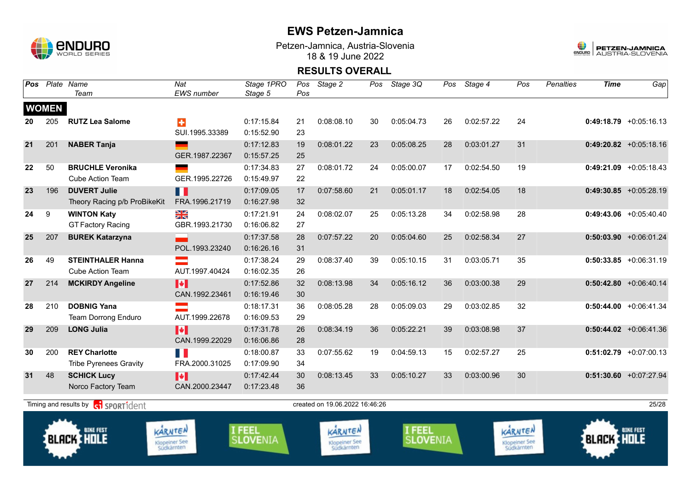

Petzen-Jamnica, Austria-Slovenia 18 & 19 June 2022



| Pos |              | Plate Name<br>Team                                          | Nat<br>EWS number                             | Stage 1PRO<br>Stage 5            | Pos<br>Pos | Stage 2                                       | Pos | Stage 3Q                         | Pos | Stage 4    | Pos                                           | <b>Penalties</b> | <b>Time</b>       | Gap                       |
|-----|--------------|-------------------------------------------------------------|-----------------------------------------------|----------------------------------|------------|-----------------------------------------------|-----|----------------------------------|-----|------------|-----------------------------------------------|------------------|-------------------|---------------------------|
|     | <b>WOMEN</b> |                                                             |                                               |                                  |            |                                               |     |                                  |     |            |                                               |                  |                   |                           |
| 20  | 205          | <b>RUTZ Lea Salome</b>                                      | ÷<br>SUI.1995.33389                           | 0:17:15.84<br>0:15:52.90         | 21<br>23   | 0:08:08.10                                    | 30  | 0:05:04.73                       | 26  | 0:02:57.22 | 24                                            |                  |                   | $0:49:18.79 + 0:05:16.13$ |
| 21  | 201          | <b>NABER Tanja</b>                                          | GER.1987.22367                                | 0:17:12.83<br>0:15:57.25         | 19<br>25   | 0:08:01.22                                    | 23  | 0:05:08.25                       | 28  | 0:03:01.27 | 31                                            |                  |                   | $0:49:20.82$ +0:05:18.16  |
| 22  | 50           | <b>BRUCHLE Veronika</b><br><b>Cube Action Team</b>          | GER.1995.22726                                | 0:17:34.83<br>0:15:49.97         | 27<br>22   | 0:08:01.72                                    | 24  | 0:05:00.07                       | 17  | 0:02:54.50 | 19                                            |                  |                   | $0:49:21.09$ +0:05:18.43  |
| 23  | 196          | <b>DUVERT Julie</b><br>Theory Racing p/b ProBikeKit         | m<br>FRA.1996.21719                           | 0:17:09.05<br>0:16:27.98         | 17<br>32   | 0:07:58.60                                    | 21  | 0:05:01.17                       | 18  | 0:02:54.05 | 18                                            |                  |                   | $0:49:30.85 +0:05:28.19$  |
| 24  | 9            | <b>WINTON Katy</b><br><b>GT Factory Racing</b>              | XK<br>GBR.1993.21730                          | 0:17:21.91<br>0:16:06.82         | 24<br>27   | 0:08:02.07                                    | 25  | 0:05:13.28                       | 34  | 0:02:58.98 | 28                                            |                  |                   | $0:49:43.06$ +0:05:40.40  |
| 25  | 207          | <b>BUREK Katarzyna</b>                                      | POL.1993.23240                                | 0:17:37.58<br>0:16:26.16         | 28<br>31   | 0:07:57.22                                    | 20  | 0:05:04.60                       | 25  | 0:02:58.34 | 27                                            |                  |                   | $0:50:03.90$ +0:06:01.24  |
| 26  | 49           | <b>STEINTHALER Hanna</b><br><b>Cube Action Team</b>         | AUT.1997.40424                                | 0:17:38.24<br>0:16:02.35         | 29<br>26   | 0:08:37.40                                    | 39  | 0:05:10.15                       | 31  | 0:03:05.71 | 35                                            |                  |                   | $0:50:33.85$ +0:06:31.19  |
| 27  | 214          | <b>MCKIRDY Angeline</b>                                     | H<br>CAN.1992.23461                           | 0:17:52.86<br>0:16:19.46         | 32<br>30   | 0:08:13.98                                    | 34  | 0:05:16.12                       | 36  | 0:03:00.38 | 29                                            |                  |                   | $0:50:42.80 + 0:06:40.14$ |
| 28  | 210          | <b>DOBNIG Yana</b><br>Team Dorrong Enduro                   | AUT.1999.22678                                | 0:18:17.31<br>0:16:09.53         | 36<br>29   | 0:08:05.28                                    | 28  | 0:05:09.03                       | 29  | 0:03:02.85 | 32                                            |                  |                   | $0:50:44.00$ +0:06:41.34  |
| 29  | 209          | <b>LONG Julia</b>                                           | H<br>CAN.1999.22029                           | 0:17:31.78<br>0:16:06.86         | 26<br>28   | 0:08:34.19                                    | 36  | 0:05:22.21                       | 39  | 0:03:08.98 | 37                                            |                  |                   | $0:50:44.02$ +0:06:41.36  |
| 30  | 200          | <b>REY Charlotte</b><br><b>Tribe Pyrenees Gravity</b>       | H.<br>FRA.2000.31025                          | 0:18:00.87<br>0:17:09.90         | 33<br>34   | 0:07:55.62                                    | 19  | 0:04:59.13                       | 15  | 0:02:57.27 | 25                                            |                  |                   | $0:51:02.79$ +0:07:00.13  |
| 31  | 48           | <b>SCHICK Lucy</b><br>Norco Factory Team                    | M<br>CAN.2000.23447                           | 0:17:42.44<br>0:17:23.48         | 30<br>36   | 0:08:13.45                                    | 33  | 0:05:10.27                       | 33  | 0:03:00.96 | 30                                            |                  |                   | $0:51:30.60$ +0:07:27.94  |
|     |              | Timing and results by <b>container that the SPORT1</b> dent |                                               |                                  |            | created on 19.06.2022 16:46:26                |     |                                  |     |            |                                               |                  |                   | 25/28                     |
|     |              | <b>BIKE FEST</b><br><b>BLACK HOLE</b>                       | KARNTEN<br><b>Klopeiner See</b><br>Südkärnten | <b>I FEEL</b><br><b>SLOVENIA</b> |            | KARNTEN<br><b>Klopeiner See</b><br>Südkärnten |     | <b>I FEEL</b><br><b>SLOVENIA</b> |     |            | KARNTEN<br><b>Klopeiner See</b><br>Südkärnten |                  | <b>BLACK HOLE</b> | <b>BIKE FEST</b>          |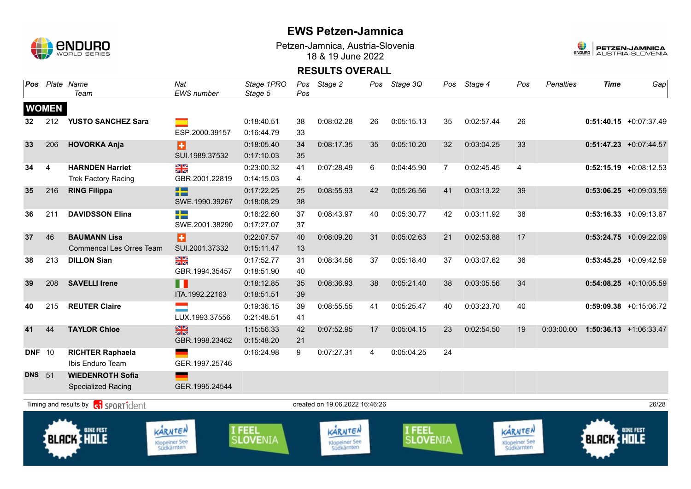

Petzen-Jamnica, Austria-Slovenia 18 & 19 June 2022



| Pos           |                | Plate Name<br>Team                          | Nat<br>EWS number                             | Stage 1PRO<br>Stage 5     | Pos<br>Pos | Stage 2                                       | Pos | Stage 3Q                  | Pos          | Stage 4    | Pos                                           | <b>Penalties</b> | <b>Time</b>       | Gap                       |
|---------------|----------------|---------------------------------------------|-----------------------------------------------|---------------------------|------------|-----------------------------------------------|-----|---------------------------|--------------|------------|-----------------------------------------------|------------------|-------------------|---------------------------|
|               | <b>WOMEN</b>   |                                             |                                               |                           |            |                                               |     |                           |              |            |                                               |                  |                   |                           |
| 32            | 212            | <b>YUSTO SANCHEZ Sara</b>                   | m.                                            | 0:18:40.51                | 38         | 0:08:02.28                                    | 26  | 0:05:15.13                | 35           | 0:02:57.44 | 26                                            |                  |                   | $0:51:40.15$ +0:07:37.49  |
|               |                |                                             | ESP.2000.39157                                | 0:16:44.79                | 33         |                                               |     |                           |              |            |                                               |                  |                   |                           |
| 33            | 206            | <b>HOVORKA Anja</b>                         | Ð                                             | 0:18:05.40                | 34         | 0:08:17.35                                    | 35  | 0:05:10.20                | 32           | 0:03:04.25 | 33                                            |                  |                   | $0:51:47.23$ +0:07:44.57  |
|               |                |                                             | SUI.1989.37532                                | 0:17:10.03                | 35         |                                               |     |                           |              |            |                                               |                  |                   |                           |
| 34            | $\overline{4}$ | <b>HARNDEN Harriet</b>                      | XX                                            | 0:23:00.32                | 41         | 0:07:28.49                                    | 6   | 0:04:45.90                | $\mathbf{7}$ | 0:02:45.45 | $\overline{4}$                                |                  |                   | $0:52:15.19$ +0:08:12.53  |
|               |                | <b>Trek Factory Racing</b>                  | GBR.2001.22819                                | 0:14:15.03                | 4          |                                               |     |                           |              |            |                                               |                  |                   |                           |
| 35            | 216            | <b>RING Filippa</b>                         | -2                                            | 0:17:22.25                | 25         | 0:08:55.93                                    | 42  | 0:05:26.56                | 41           | 0:03:13.22 | 39                                            |                  |                   | $0:53:06.25$ +0:09:03.59  |
|               |                |                                             | SWE.1990.39267                                | 0:18:08.29                | 38         |                                               |     |                           |              |            |                                               |                  |                   |                           |
| 36            | 211            | <b>DAVIDSSON Elina</b>                      | ╉═                                            | 0:18:22.60                | 37         | 0:08:43.97                                    | 40  | 0:05:30.77                | 42           | 0:03:11.92 | 38                                            |                  |                   | $0:53:16.33 +0:09:13.67$  |
|               |                |                                             | SWE.2001.38290                                | 0:17:27.07                | 37         |                                               |     |                           |              |            |                                               |                  |                   |                           |
| 37            | 46             | <b>BAUMANN Lisa</b>                         | H                                             | 0:22:07.57                | 40         | 0:08:09.20                                    | 31  | 0:05:02.63                | 21           | 0:02:53.88 | 17                                            |                  |                   | $0:53:24.75$ +0:09:22.09  |
|               |                | <b>Commencal Les Orres Team</b>             | SUI.2001.37332                                | 0:15:11.47                | 13         |                                               |     |                           |              |            |                                               |                  |                   |                           |
| 38            | 213            | <b>DILLON Sian</b>                          | $\frac{N}{N}$                                 | 0:17:52.77                | 31         | 0:08:34.56                                    | 37  | 0:05:18.40                | 37           | 0:03:07.62 | 36                                            |                  |                   | $0:53:45.25 + 0:09:42.59$ |
|               |                |                                             | GBR.1994.35457                                | 0:18:51.90                | 40         |                                               |     |                           |              |            |                                               |                  |                   |                           |
| 39            | 208            | <b>SAVELLI Irene</b>                        | n                                             | 0:18:12.85                | 35         | 0:08:36.93                                    | 38  | 0:05:21.40                | 38           | 0:03:05.56 | 34                                            |                  |                   | $0:54:08.25$ +0:10:05.59  |
|               |                |                                             | ITA.1992.22163                                | 0:18:51.51                | 39         |                                               |     |                           |              |            |                                               |                  |                   |                           |
| 40            | 215            | <b>REUTER Claire</b>                        | m.                                            | 0:19:36.15                | 39         | 0:08:55.55                                    | 41  | 0:05:25.47                | 40           | 0:03:23.70 | 40                                            |                  |                   | $0:59:09.38$ +0:15:06.72  |
|               |                |                                             | LUX.1993.37556                                | 0:21:48.51                | 41         |                                               |     |                           |              |            |                                               |                  |                   |                           |
| 41            | 44             | <b>TAYLOR Chloe</b>                         | $\frac{N}{N}$                                 | 1:15:56.33                | 42         | 0:07:52.95                                    | 17  | 0:05:04.15                | 23           | 0:02:54.50 | 19                                            | 0:03:00.00       |                   | $1:50:36.13 +1:06:33.47$  |
|               |                |                                             | GBR.1998.23462                                | 0:15:48.20                | 21         |                                               |     |                           |              |            |                                               |                  |                   |                           |
| <b>DNF</b>    | 10             | <b>RICHTER Raphaela</b>                     |                                               | 0:16:24.98                | 9          | 0:07:27.31                                    | 4   | 0:05:04.25                | 24           |            |                                               |                  |                   |                           |
|               |                | Ibis Enduro Team                            | GER.1997.25746                                |                           |            |                                               |     |                           |              |            |                                               |                  |                   |                           |
| <b>DNS</b> 51 |                | <b>WIEDENROTH Sofia</b>                     |                                               |                           |            |                                               |     |                           |              |            |                                               |                  |                   |                           |
|               |                | <b>Specialized Racing</b>                   | GER.1995.24544                                |                           |            |                                               |     |                           |              |            |                                               |                  |                   |                           |
|               |                | Timing and results by <b>c</b> o sportident |                                               |                           |            | created on 19.06.2022 16:46:26                |     |                           |              |            |                                               |                  |                   | 26/28                     |
|               |                | <b>BIKE FEST</b><br><b>BLACK HOLE</b>       | KARNTEN<br><b>Klopeiner See</b><br>Südkärnten | I FEEL<br><b>SLOVENIA</b> |            | KARNTEN<br><b>Klopeiner See</b><br>Südkärnten |     | I FEEL<br><b>SLOVENIA</b> |              |            | KARNTEN<br><b>Klopeiner See</b><br>Südkärnten |                  | <b>BLACK HOLE</b> | <b>BIKE FEST</b>          |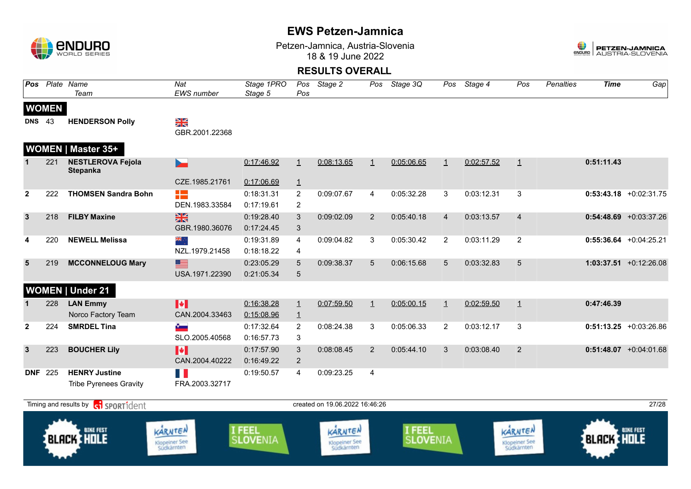

Petzen-Jamnica, Austria-Slovenia 18 & 19 June 2022



| <b>Pos</b>     |                | Plate Name<br>Team                                    | Nat<br>EWS number                       | Stage 1PRO<br>Stage 5            | Pos                              | Pos Stage 2                                   | Pos          | Stage 3Q                  | Pos            | Stage 4    | Pos                                           | <b>Penalties</b> | <b>Time</b>       | Gap                       |
|----------------|----------------|-------------------------------------------------------|-----------------------------------------|----------------------------------|----------------------------------|-----------------------------------------------|--------------|---------------------------|----------------|------------|-----------------------------------------------|------------------|-------------------|---------------------------|
|                | <b>WOMEN</b>   |                                                       |                                         |                                  |                                  |                                               |              |                           |                |            |                                               |                  |                   |                           |
| <b>DNS</b>     | 43             | <b>HENDERSON Polly</b>                                | NK<br>Ak<br>GBR.2001.22368              |                                  |                                  |                                               |              |                           |                |            |                                               |                  |                   |                           |
|                |                | <b>WOMEN   Master 35+</b>                             |                                         |                                  |                                  |                                               |              |                           |                |            |                                               |                  |                   |                           |
|                | 221            | <b>NESTLEROVA Fejola</b><br><b>Stepanka</b>           | b.                                      | 0:17:46.92                       | $\overline{1}$                   | 0:08:13.65                                    | $\mathbf{1}$ | 0:05:06.65                | $\mathbf{1}$   | 0:02:57.52 | $\overline{1}$                                |                  | 0:51:11.43        |                           |
|                |                |                                                       | CZE.1985.21761                          | 0:17:06.69                       | $\overline{1}$                   |                                               |              |                           |                |            |                                               |                  |                   |                           |
| $\mathbf{2}$   | 222            | <b>THOMSEN Sandra Bohn</b>                            | -12<br>DEN.1983.33584                   | 0:18:31.31<br>0:17:19.61         | $\overline{2}$<br>$\overline{c}$ | 0:09:07.67                                    | 4            | 0:05:32.28                | 3              | 0:03:12.31 | 3                                             |                  |                   | $0:53:43.18$ +0:02:31.75  |
| $\mathbf{3}$   | 218            | <b>FILBY Maxine</b>                                   | $\frac{N}{N}$<br>GBR.1980.36076         | 0:19:28.40<br>0:17:24.45         | 3<br>3                           | 0:09:02.09                                    | 2            | 0:05:40.18                | $\overline{4}$ | 0:03:13.57 | $\overline{4}$                                |                  |                   | $0:54:48.69$ +0:03:37.26  |
| 4              | 220            | <b>NEWELL Melissa</b>                                 | ▓<br>NZL.1979.21458                     | 0:19:31.89<br>0:18:18.22         | 4<br>4                           | 0:09:04.82                                    | 3            | 0:05:30.42                | $\overline{2}$ | 0:03:11.29 | 2                                             |                  |                   | $0:55:36.64$ +0:04:25.21  |
| 5              | 219            | <b>MCCONNELOUG Mary</b>                               | ▇<br>USA.1971.22390                     | 0:23:05.29<br>0:21:05.34         | 5<br>$\sqrt{5}$                  | 0:09:38.37                                    | 5            | 0:06:15.68                | 5              | 0:03:32.83 | 5                                             |                  |                   | $1:03:37.51 + 0:12:26.08$ |
|                |                | <b>WOMEN   Under 21</b>                               |                                         |                                  |                                  |                                               |              |                           |                |            |                                               |                  |                   |                           |
|                | 228            | <b>LAN Emmy</b><br>Norco Factory Team                 | $\blacktriangleright$<br>CAN.2004.33463 | 0:16:38.28<br>0:15:08.96         | $\overline{1}$<br>$\overline{1}$ | 0:07:59.50                                    | $\perp$      | 0:05:00.15                | $\mathbf{1}$   | 0:02:59.50 | $\perp$                                       |                  | 0:47:46.39        |                           |
| $\overline{2}$ | 224            | <b>SMRDEL Tina</b>                                    | $\bullet$<br>SLO.2005.40568             | 0:17:32.64<br>0:16:57.73         | $\overline{2}$<br>3              | 0:08:24.38                                    | 3            | 0:05:06.33                | $\overline{2}$ | 0:03:12.17 | 3                                             |                  |                   | $0:51:13.25 +0:03:26.86$  |
| $\mathbf{3}$   | 223            | <b>BOUCHER Lily</b>                                   | H<br>CAN.2004.40222                     | 0:17:57.90<br>0:16:49.22         | 3<br>$\overline{2}$              | 0:08:08.45                                    | 2            | 0:05:44.10                | 3              | 0:03:08.40 | $\overline{2}$                                |                  |                   | $0:51:48.07$ +0:04:01.68  |
|                | <b>DNF 225</b> | <b>HENRY Justine</b><br><b>Tribe Pyrenees Gravity</b> | H N<br>FRA.2003.32717                   | 0:19:50.57                       | 4                                | 0:09:23.25                                    | 4            |                           |                |            |                                               |                  |                   |                           |
|                |                | Timing and results by contract of the SPORT1 dent     |                                         |                                  |                                  | created on 19.06.2022 16:46:26                |              |                           |                |            |                                               |                  |                   | 27/28                     |
|                |                | <b>BIKE FEST</b><br><b>BLACK HOLE</b>                 | KARNTEN<br>Klopeiner See<br>Südkärnten  | <b>I FEEL</b><br><b>SLOVENIA</b> |                                  | KARNTEN<br><b>Klopeiner See</b><br>Südkärnten |              | I FEEL<br><b>SLOVENIA</b> |                |            | KARNTEN<br><b>Klopeiner See</b><br>Südkärnten |                  | <b>BLACK HOLE</b> | <b>BIKE FEST</b>          |
|                |                |                                                       |                                         |                                  |                                  |                                               |              |                           |                |            |                                               |                  |                   |                           |